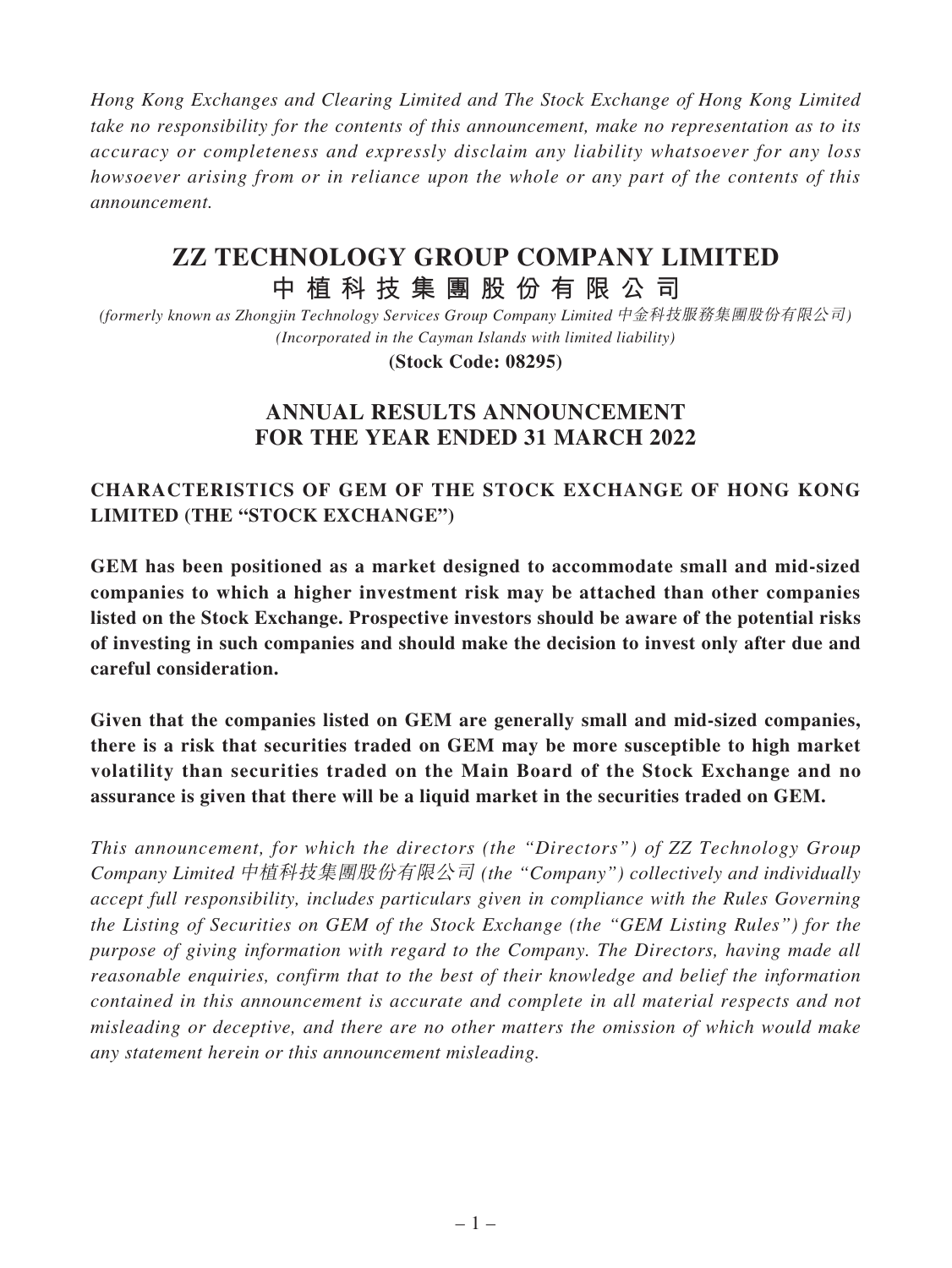*Hong Kong Exchanges and Clearing Limited and The Stock Exchange of Hong Kong Limited take no responsibility for the contents of this announcement, make no representation as to its accuracy or completeness and expressly disclaim any liability whatsoever for any loss howsoever arising from or in reliance upon the whole or any part of the contents of this announcement.*

# **ZZ TECHNOLOGY GROUP COMPANY LIMITED**

# **中植科技集團股份有限公司**

*(formerly known as Zhongjin Technology Services Group Company Limited* 中金科技服務集團股份有限公司*) (Incorporated in the Cayman Islands with limited liability)*

**(Stock Code: 08295)**

# **ANNUAL RESULTS ANNOUNCEMENT FOR THE YEAR ENDED 31 MARCH 2022**

# **CHARACTERISTICS OF GEM OF THE STOCK EXCHANGE OF HONG KONG LIMITED (THE "STOCK EXCHANGE")**

**GEM has been positioned as a market designed to accommodate small and mid-sized companies to which a higher investment risk may be attached than other companies listed on the Stock Exchange. Prospective investors should be aware of the potential risks of investing in such companies and should make the decision to invest only after due and careful consideration.**

**Given that the companies listed on GEM are generally small and mid-sized companies, there is a risk that securities traded on GEM may be more susceptible to high market volatility than securities traded on the Main Board of the Stock Exchange and no assurance is given that there will be a liquid market in the securities traded on GEM.**

*This announcement, for which the directors (the "Directors") of ZZ Technology Group Company Limited* 中植科技集團股份有限公司 *(the "Company") collectively and individually accept full responsibility, includes particulars given in compliance with the Rules Governing the Listing of Securities on GEM of the Stock Exchange (the "GEM Listing Rules") for the purpose of giving information with regard to the Company. The Directors, having made all reasonable enquiries, confirm that to the best of their knowledge and belief the information contained in this announcement is accurate and complete in all material respects and not misleading or deceptive, and there are no other matters the omission of which would make any statement herein or this announcement misleading.*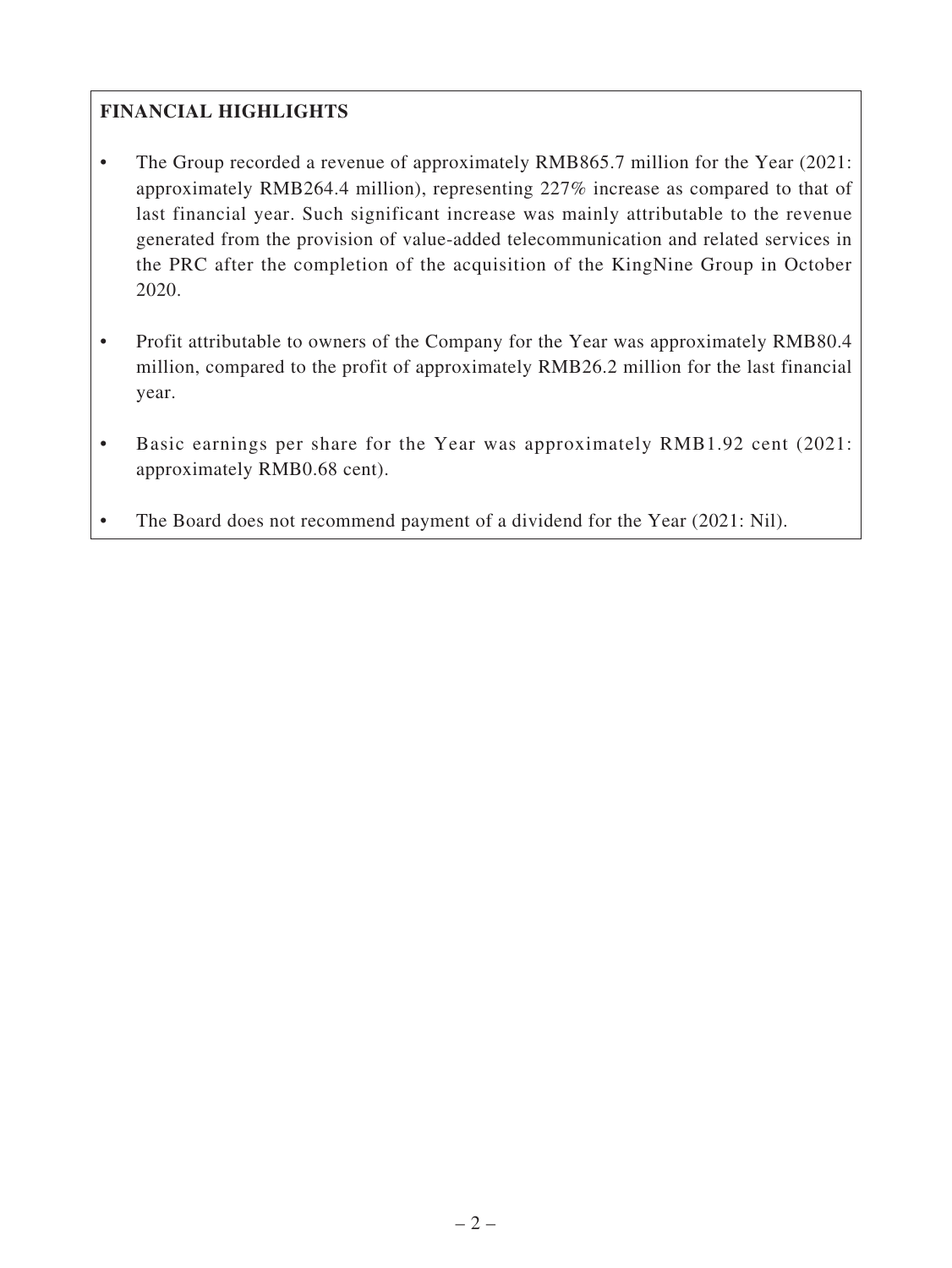# **FINANCIAL HIGHLIGHTS**

- The Group recorded a revenue of approximately RMB865.7 million for the Year (2021: approximately RMB264.4 million), representing 227% increase as compared to that of last financial year. Such significant increase was mainly attributable to the revenue generated from the provision of value-added telecommunication and related services in the PRC after the completion of the acquisition of the KingNine Group in October 2020.
- Profit attributable to owners of the Company for the Year was approximately RMB80.4 million, compared to the profit of approximately RMB26.2 million for the last financial year.
- Basic earnings per share for the Year was approximately RMB1.92 cent (2021: approximately RMB0.68 cent).
- The Board does not recommend payment of a dividend for the Year (2021: Nil).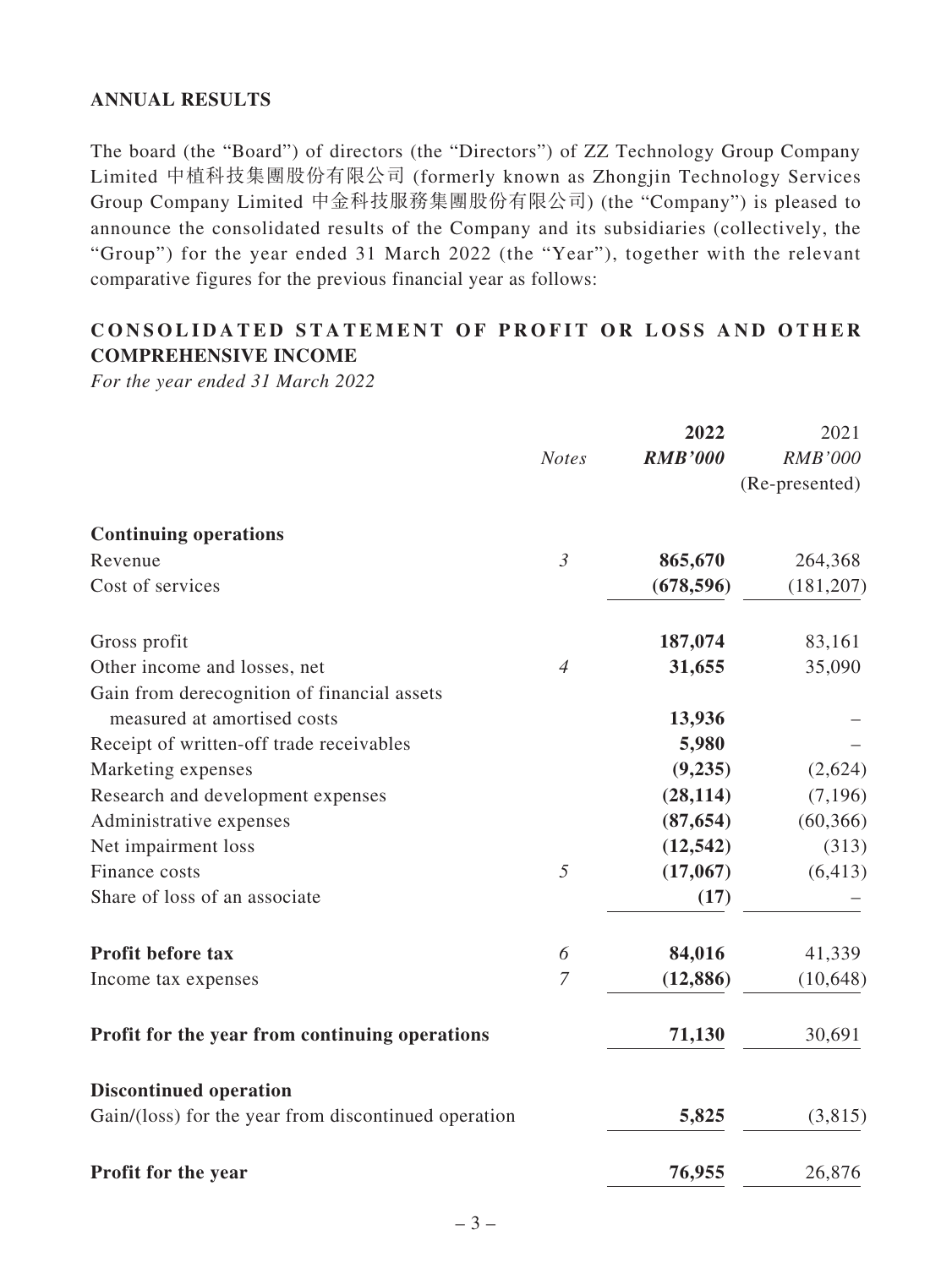# **ANNUAL RESULTS**

The board (the "Board") of directors (the "Directors") of ZZ Technology Group Company Limited 中植科技集團股份有限公司 (formerly known as Zhongjin Technology Services Group Company Limited 中金科技服務集團股份有限公司) (the "Company") is pleased to announce the consolidated results of the Company and its subsidiaries (collectively, the "Group") for the year ended 31 March 2022 (the "Year"), together with the relevant comparative figures for the previous financial year as follows:

# **CONSOLIDATED STATEMENT OF PROFIT OR LOSS AND OTHER COMPREHENSIVE INCOME**

*For the year ended 31 March 2022*

|                                                      |                       | 2022           | 2021           |
|------------------------------------------------------|-----------------------|----------------|----------------|
|                                                      | <b>Notes</b>          | <b>RMB'000</b> | <b>RMB'000</b> |
|                                                      |                       |                | (Re-presented) |
| <b>Continuing operations</b>                         |                       |                |                |
| Revenue                                              | $\mathfrak{Z}$        | 865,670        | 264,368        |
| Cost of services                                     |                       | (678, 596)     | (181, 207)     |
| Gross profit                                         |                       | 187,074        | 83,161         |
| Other income and losses, net                         | $\overline{4}$        | 31,655         | 35,090         |
| Gain from derecognition of financial assets          |                       |                |                |
| measured at amortised costs                          |                       | 13,936         |                |
| Receipt of written-off trade receivables             |                       | 5,980          |                |
| Marketing expenses                                   |                       | (9,235)        | (2,624)        |
| Research and development expenses                    |                       | (28, 114)      | (7,196)        |
| Administrative expenses                              |                       | (87, 654)      | (60, 366)      |
| Net impairment loss                                  |                       | (12, 542)      | (313)          |
| Finance costs                                        | 5                     | (17,067)       | (6, 413)       |
| Share of loss of an associate                        |                       | (17)           |                |
| Profit before tax                                    | $\boldsymbol{\delta}$ | 84,016         | 41,339         |
| Income tax expenses                                  | $\overline{7}$        | (12, 886)      | (10, 648)      |
| Profit for the year from continuing operations       |                       | 71,130         | 30,691         |
| <b>Discontinued operation</b>                        |                       |                |                |
| Gain/(loss) for the year from discontinued operation |                       | 5,825          | (3,815)        |
| Profit for the year                                  |                       | 76,955         | 26,876         |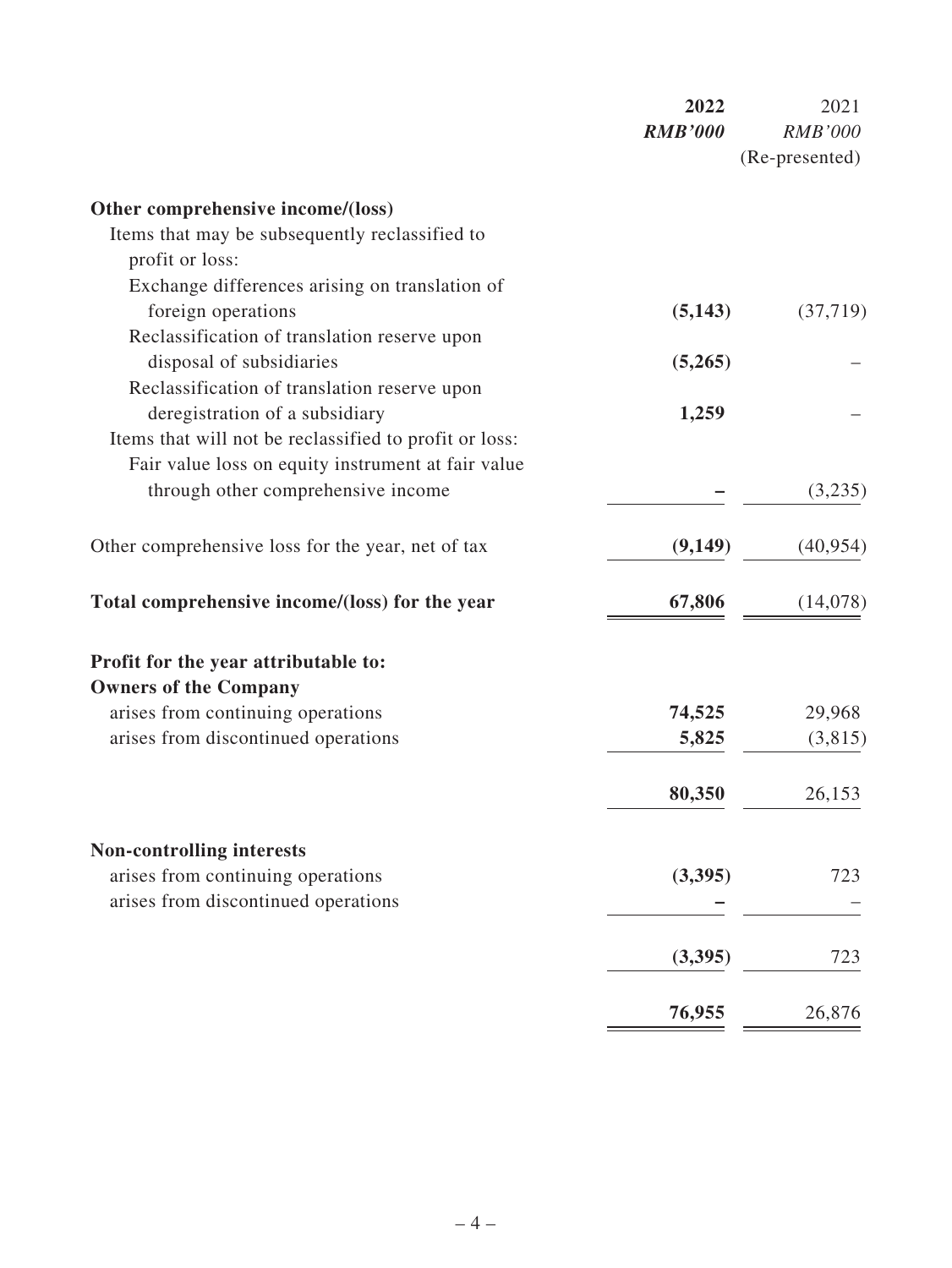|                                                        | 2022           | 2021           |
|--------------------------------------------------------|----------------|----------------|
|                                                        | <b>RMB'000</b> | <b>RMB'000</b> |
|                                                        |                | (Re-presented) |
| Other comprehensive income/(loss)                      |                |                |
| Items that may be subsequently reclassified to         |                |                |
| profit or loss:                                        |                |                |
| Exchange differences arising on translation of         |                |                |
| foreign operations                                     | (5,143)        | (37,719)       |
| Reclassification of translation reserve upon           |                |                |
| disposal of subsidiaries                               | (5,265)        |                |
| Reclassification of translation reserve upon           |                |                |
| deregistration of a subsidiary                         | 1,259          |                |
| Items that will not be reclassified to profit or loss: |                |                |
| Fair value loss on equity instrument at fair value     |                |                |
| through other comprehensive income                     |                | (3,235)        |
| Other comprehensive loss for the year, net of tax      | (9,149)        | (40, 954)      |
| Total comprehensive income/(loss) for the year         | 67,806         | (14,078)       |
| Profit for the year attributable to:                   |                |                |
| <b>Owners of the Company</b>                           |                |                |
| arises from continuing operations                      | 74,525         | 29,968         |
| arises from discontinued operations                    | 5,825          | (3,815)        |
|                                                        |                |                |
|                                                        | 80,350         | 26,153         |
| <b>Non-controlling interests</b>                       |                |                |
| arises from continuing operations                      | (3,395)        | 723            |
| arises from discontinued operations                    |                |                |
|                                                        |                |                |
|                                                        | (3,395)        | 723            |
|                                                        | 76,955         | 26,876         |
|                                                        |                |                |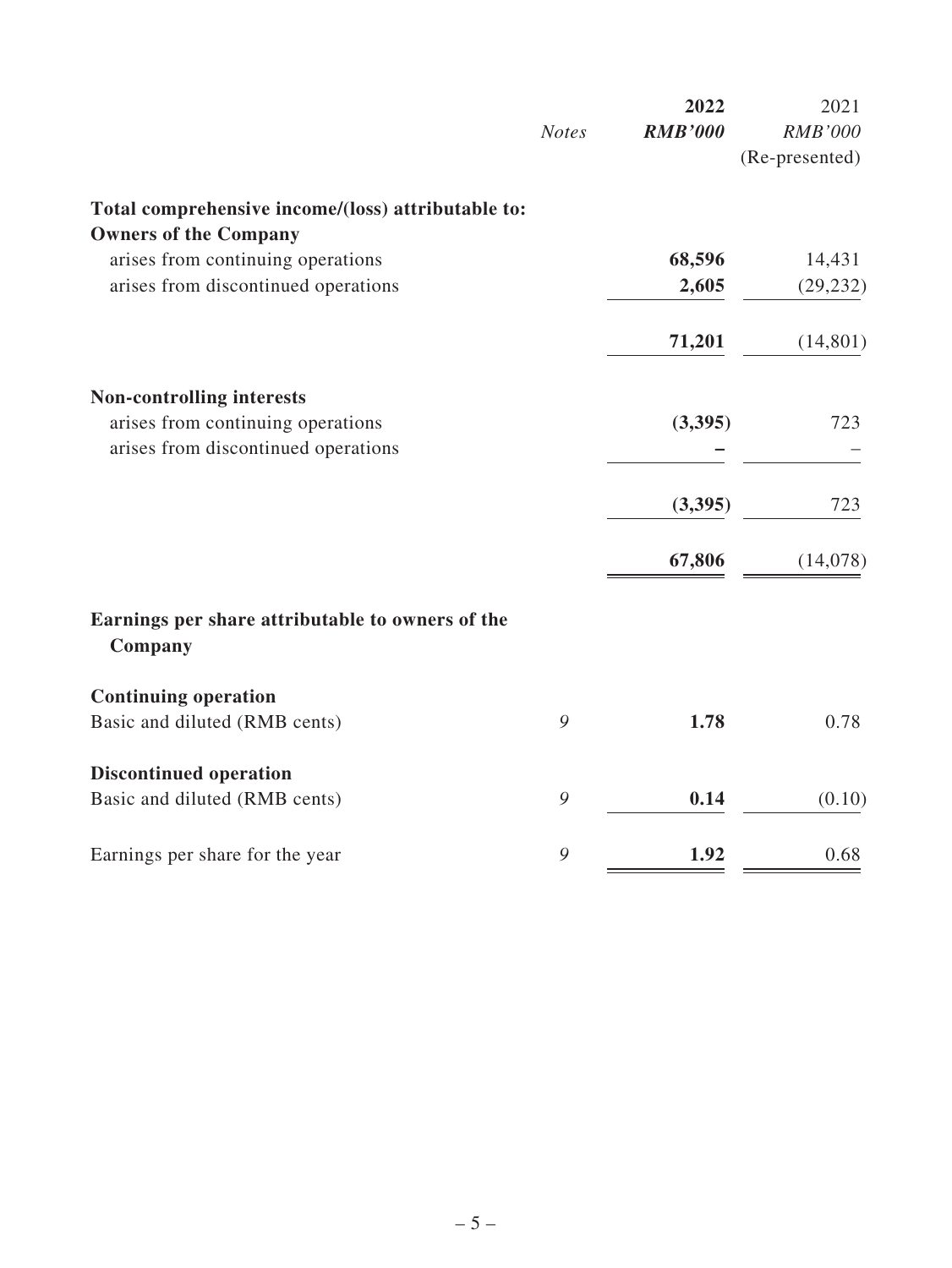|                                                             |              | 2022           | 2021           |
|-------------------------------------------------------------|--------------|----------------|----------------|
|                                                             | <b>Notes</b> | <b>RMB'000</b> | <b>RMB'000</b> |
|                                                             |              |                | (Re-presented) |
| Total comprehensive income/(loss) attributable to:          |              |                |                |
| <b>Owners of the Company</b>                                |              |                |                |
| arises from continuing operations                           |              | 68,596         | 14,431         |
| arises from discontinued operations                         |              | 2,605          | (29, 232)      |
|                                                             |              | 71,201         | (14, 801)      |
| <b>Non-controlling interests</b>                            |              |                |                |
| arises from continuing operations                           |              | (3,395)        | 723            |
| arises from discontinued operations                         |              |                |                |
|                                                             |              | (3,395)        | 723            |
|                                                             |              | 67,806         | (14,078)       |
| Earnings per share attributable to owners of the<br>Company |              |                |                |
| <b>Continuing operation</b>                                 |              |                |                |
| Basic and diluted (RMB cents)                               | 9            | 1.78           | 0.78           |
| <b>Discontinued operation</b>                               |              |                |                |
| Basic and diluted (RMB cents)                               | 9            | 0.14           | (0.10)         |
| Earnings per share for the year                             | 9            | 1.92           | 0.68           |
|                                                             |              |                |                |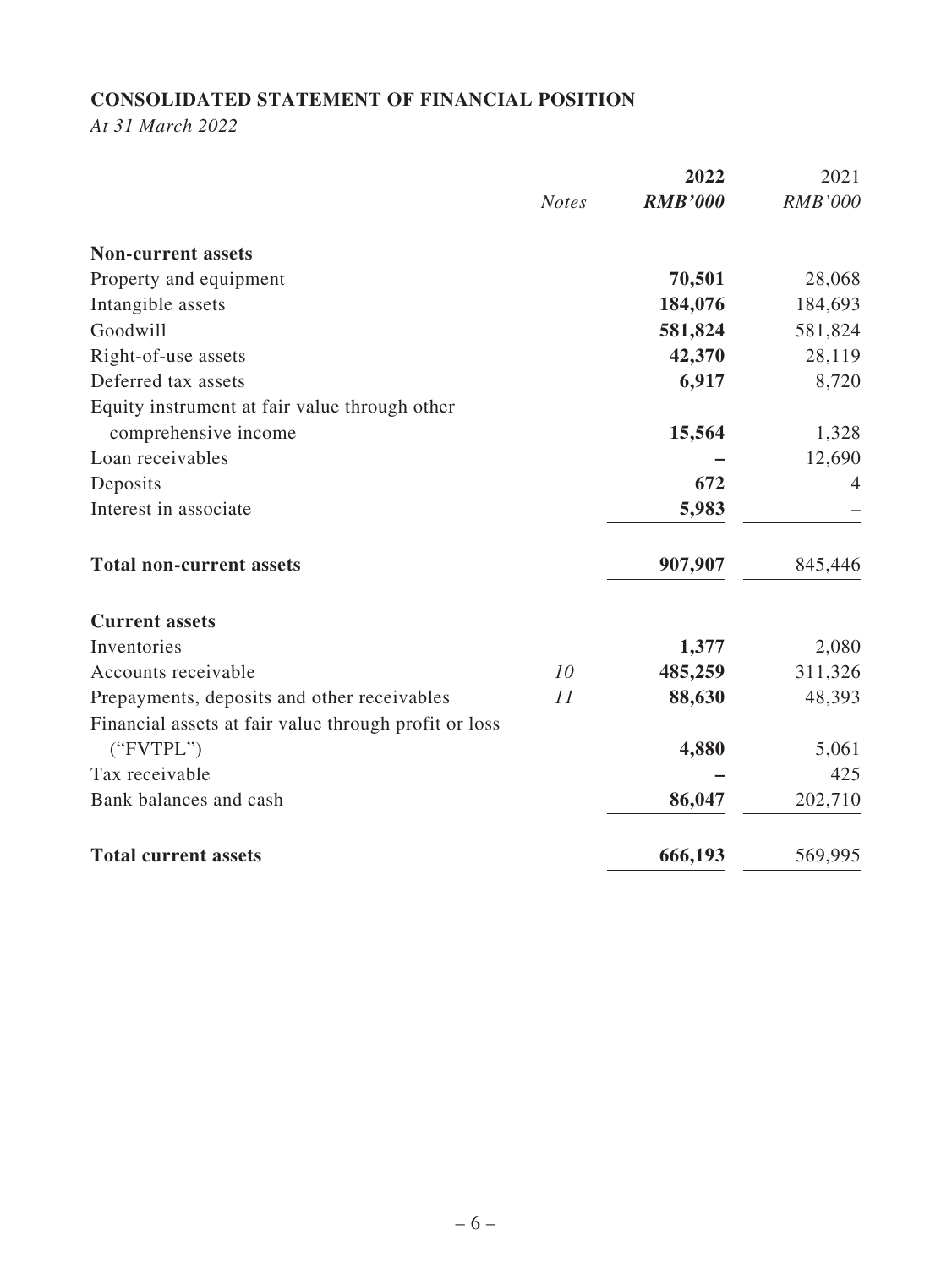# **CONSOLIDATED STATEMENT OF FINANCIAL POSITION**

*At 31 March 2022*

|                                                       |              | 2022           | 2021           |
|-------------------------------------------------------|--------------|----------------|----------------|
|                                                       | <b>Notes</b> | <b>RMB'000</b> | <b>RMB'000</b> |
| <b>Non-current assets</b>                             |              |                |                |
| Property and equipment                                |              | 70,501         | 28,068         |
| Intangible assets                                     |              | 184,076        | 184,693        |
| Goodwill                                              |              | 581,824        | 581,824        |
| Right-of-use assets                                   |              | 42,370         | 28,119         |
| Deferred tax assets                                   |              | 6,917          | 8,720          |
| Equity instrument at fair value through other         |              |                |                |
| comprehensive income                                  |              | 15,564         | 1,328          |
| Loan receivables                                      |              |                | 12,690         |
| Deposits                                              |              | 672            | $\overline{4}$ |
| Interest in associate                                 |              | 5,983          |                |
| <b>Total non-current assets</b>                       |              | 907,907        | 845,446        |
| <b>Current assets</b>                                 |              |                |                |
| Inventories                                           |              | 1,377          | 2,080          |
| Accounts receivable                                   | 10           | 485,259        | 311,326        |
| Prepayments, deposits and other receivables           | 11           | 88,630         | 48,393         |
| Financial assets at fair value through profit or loss |              |                |                |
| ("FVTPL")                                             |              | 4,880          | 5,061          |
| Tax receivable                                        |              |                | 425            |
| Bank balances and cash                                |              | 86,047         | 202,710        |
| <b>Total current assets</b>                           |              | 666,193        | 569,995        |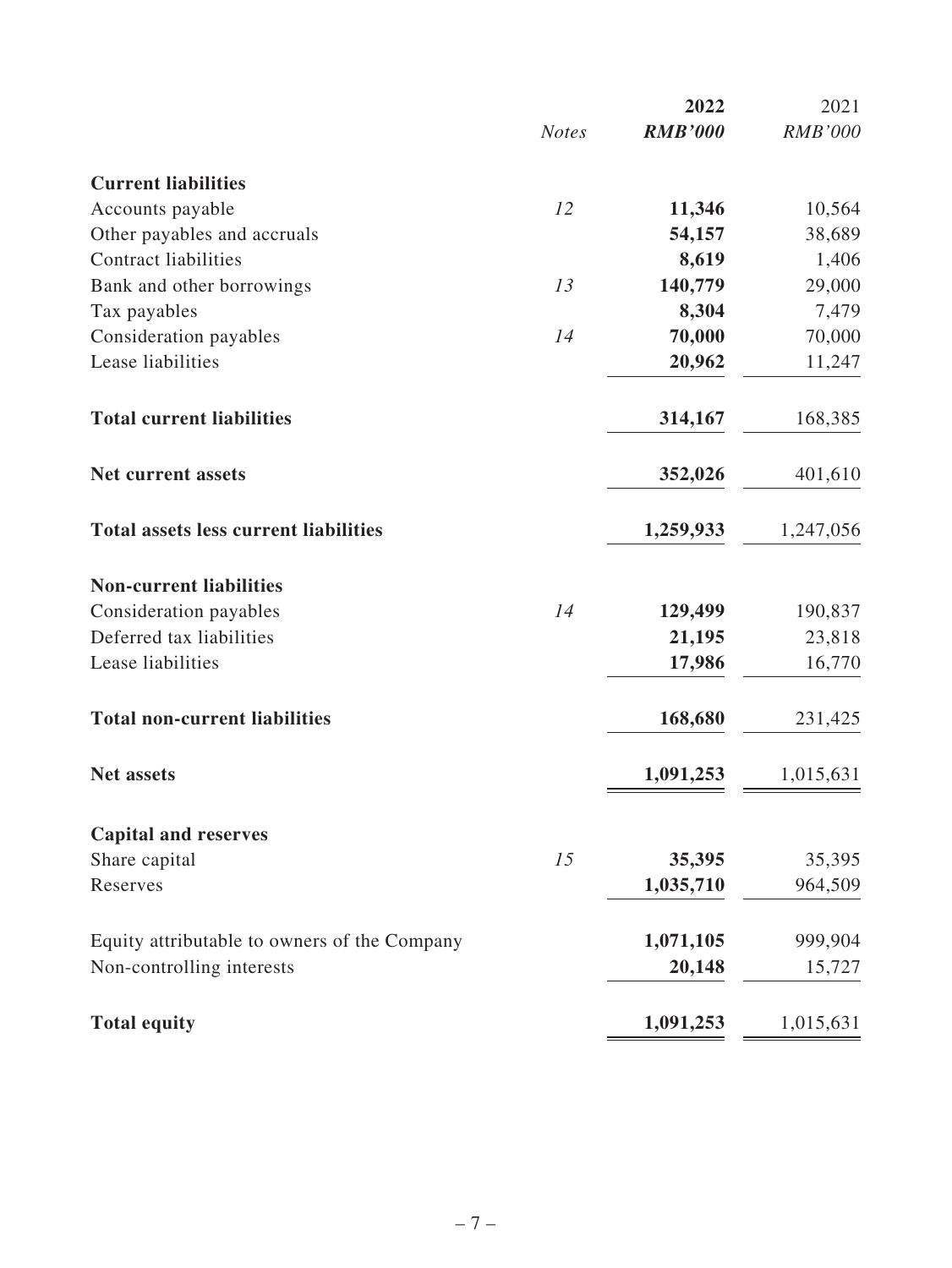|                                              |              | 2022           | 2021           |
|----------------------------------------------|--------------|----------------|----------------|
|                                              | <b>Notes</b> | <b>RMB'000</b> | <b>RMB'000</b> |
| <b>Current liabilities</b>                   |              |                |                |
| Accounts payable                             | 12           | 11,346         | 10,564         |
| Other payables and accruals                  |              | 54,157         | 38,689         |
| <b>Contract liabilities</b>                  |              | 8,619          | 1,406          |
| Bank and other borrowings                    | 13           | 140,779        | 29,000         |
| Tax payables                                 |              | 8,304          | 7,479          |
| Consideration payables                       | 14           | 70,000         | 70,000         |
| Lease liabilities                            |              | 20,962         | 11,247         |
| <b>Total current liabilities</b>             |              | 314,167        | 168,385        |
| <b>Net current assets</b>                    |              | 352,026        | 401,610        |
| <b>Total assets less current liabilities</b> |              | 1,259,933      | 1,247,056      |
| <b>Non-current liabilities</b>               |              |                |                |
| Consideration payables                       | 14           | 129,499        | 190,837        |
| Deferred tax liabilities                     |              | 21,195         | 23,818         |
| Lease liabilities                            |              | 17,986         | 16,770         |
| <b>Total non-current liabilities</b>         |              | 168,680        | 231,425        |
| <b>Net assets</b>                            |              | 1,091,253      | 1,015,631      |
| <b>Capital and reserves</b>                  |              |                |                |
| Share capital                                | 15           | 35,395         | 35,395         |
| Reserves                                     |              | 1,035,710      | 964,509        |
| Equity attributable to owners of the Company |              | 1,071,105      | 999,904        |
| Non-controlling interests                    |              | 20,148         | 15,727         |
| <b>Total equity</b>                          |              | 1,091,253      | 1,015,631      |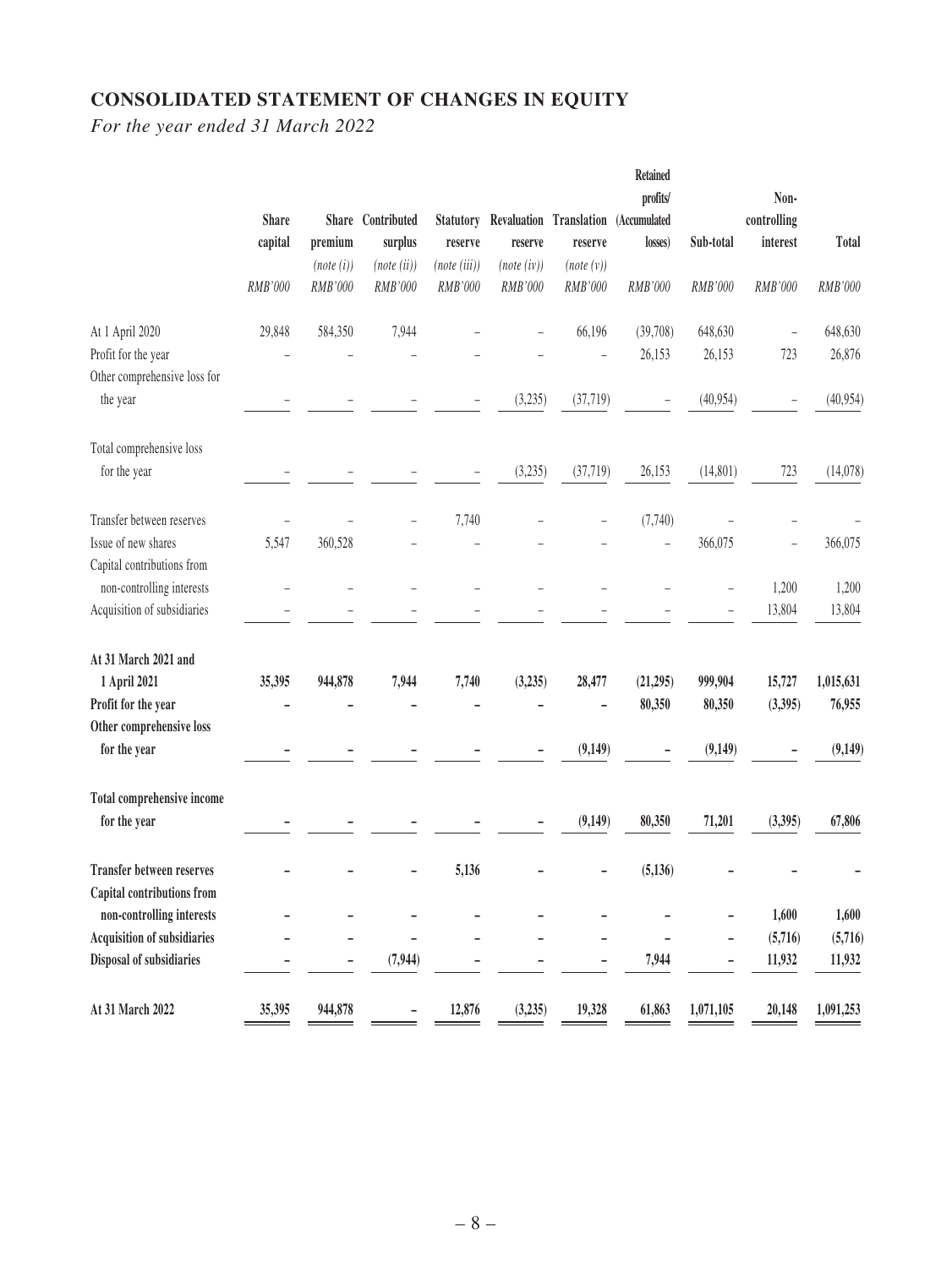# **CONSOLIDATED STATEMENT OF CHANGES IN EQUITY**

*For the year ended 31 March 2022*

|                                    |              |                      |                        |                         |                       |                         | <b>Retained</b> |                |                         |           |
|------------------------------------|--------------|----------------------|------------------------|-------------------------|-----------------------|-------------------------|-----------------|----------------|-------------------------|-----------|
|                                    |              |                      |                        |                         |                       |                         | profits/        |                | Non-                    |           |
|                                    | <b>Share</b> | premium              | Share Contributed      | <b>Statutory</b>        |                       | Revaluation Translation | (Accumulated    | Sub-total      | controlling<br>interest | Total     |
|                                    | capital      |                      | surplus                | reserve<br>(note (iii)) | reserve               | reserve                 | losses)         |                |                         |           |
|                                    | RMB'000      | (note(i))<br>RMB'000 | (note (ii))<br>RMB'000 | RMB'000                 | (note(iv))<br>RMB'000 | (note(v))<br>RMB'000    | RMB'000         | <b>RMB'000</b> | RMB'000                 | RMB'000   |
| At 1 April 2020                    | 29,848       | 584,350              | 7,944                  |                         |                       | 66,196                  | (39,708)        | 648,630        |                         | 648,630   |
| Profit for the year                |              |                      |                        |                         |                       |                         | 26,153          | 26,153         | 723                     | 26,876    |
| Other comprehensive loss for       |              |                      |                        |                         |                       |                         |                 |                |                         |           |
| the year                           |              |                      |                        |                         | (3,235)               | (37, 719)               |                 | (40, 954)      |                         | (40,954)  |
| Total comprehensive loss           |              |                      |                        |                         |                       |                         |                 |                |                         |           |
| for the year                       |              |                      |                        |                         | (3,235)               | (37, 719)               | 26,153          | (14, 801)      | 723                     | (14,078)  |
| Transfer between reserves          |              |                      |                        | 7,740                   |                       |                         | (7,740)         |                |                         |           |
| Issue of new shares                | 5,547        | 360,528              |                        |                         |                       |                         |                 | 366,075        |                         | 366,075   |
| Capital contributions from         |              |                      |                        |                         |                       |                         |                 |                |                         |           |
| non-controlling interests          |              |                      |                        |                         |                       |                         |                 |                | 1,200                   | 1,200     |
| Acquisition of subsidiaries        |              |                      |                        |                         |                       |                         |                 |                | 13,804                  | 13,804    |
| At 31 March 2021 and               |              |                      |                        |                         |                       |                         |                 |                |                         |           |
| 1 April 2021                       | 35,395       | 944,878              | 7,944                  | 7,740                   | (3,235)               | 28,477                  | (21, 295)       | 999,904        | 15,727                  | 1,015,631 |
| Profit for the year                |              |                      |                        |                         |                       |                         | 80,350          | 80,350         | (3,395)                 | 76,955    |
| Other comprehensive loss           |              |                      |                        |                         |                       |                         |                 |                |                         |           |
| for the year                       |              |                      |                        |                         |                       | (9,149)                 |                 | (9, 149)       |                         | (9,149)   |
| Total comprehensive income         |              |                      |                        |                         |                       |                         |                 |                |                         |           |
| for the year                       |              |                      |                        |                         |                       | (9,149)                 | 80,350          | 71,201         | (3, 395)                | 67,806    |
| <b>Transfer between reserves</b>   |              |                      |                        | 5,136                   |                       |                         | (5, 136)        |                |                         |           |
| Capital contributions from         |              |                      |                        |                         |                       |                         |                 |                |                         |           |
| non-controlling interests          |              |                      |                        |                         |                       |                         |                 |                | 1,600                   | 1,600     |
| <b>Acquisition of subsidiaries</b> |              |                      |                        |                         |                       |                         |                 |                | (5,716)                 | (5,716)   |
| Disposal of subsidiaries           |              |                      | (7, 944)               |                         |                       |                         | 7,944           |                | 11,932                  | 11,932    |
| At 31 March 2022                   | 35,395       | 944,878              |                        | 12,876                  | (3,235)               | 19,328                  | 61,863          | 1,071,105      | 20,148                  | 1,091,253 |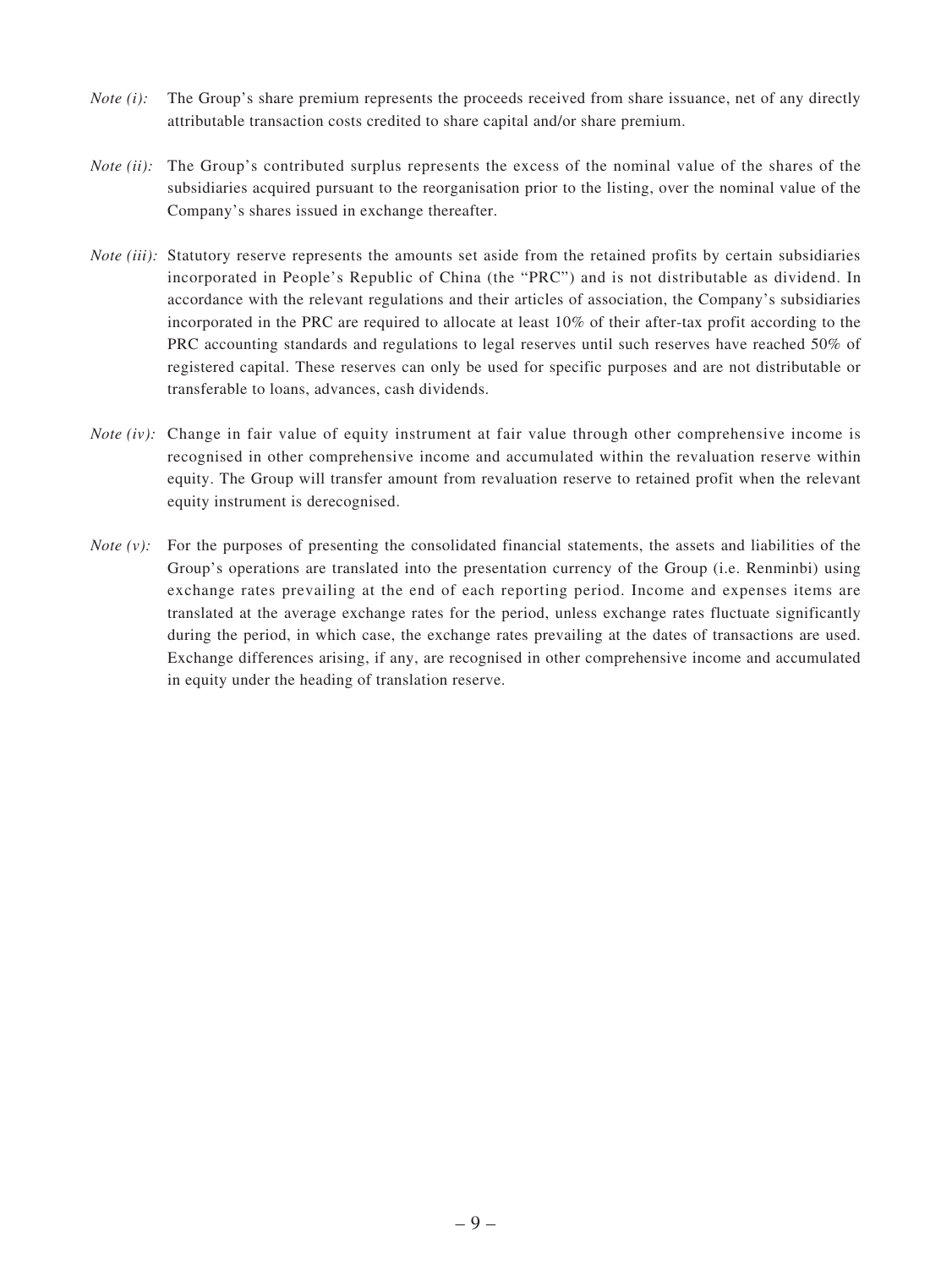- *Note (i):* The Group's share premium represents the proceeds received from share issuance, net of any directly attributable transaction costs credited to share capital and/or share premium.
- *Note (ii):* The Group's contributed surplus represents the excess of the nominal value of the shares of the subsidiaries acquired pursuant to the reorganisation prior to the listing, over the nominal value of the Company's shares issued in exchange thereafter.
- *Note (iii):* Statutory reserve represents the amounts set aside from the retained profits by certain subsidiaries incorporated in People's Republic of China (the "PRC") and is not distributable as dividend. In accordance with the relevant regulations and their articles of association, the Company's subsidiaries incorporated in the PRC are required to allocate at least 10% of their after-tax profit according to the PRC accounting standards and regulations to legal reserves until such reserves have reached 50% of registered capital. These reserves can only be used for specific purposes and are not distributable or transferable to loans, advances, cash dividends.
- *Note (iv)*: Change in fair value of equity instrument at fair value through other comprehensive income is recognised in other comprehensive income and accumulated within the revaluation reserve within equity. The Group will transfer amount from revaluation reserve to retained profit when the relevant equity instrument is derecognised.
- *Note (v):* For the purposes of presenting the consolidated financial statements, the assets and liabilities of the Group's operations are translated into the presentation currency of the Group (i.e. Renminbi) using exchange rates prevailing at the end of each reporting period. Income and expenses items are translated at the average exchange rates for the period, unless exchange rates fluctuate significantly during the period, in which case, the exchange rates prevailing at the dates of transactions are used. Exchange differences arising, if any, are recognised in other comprehensive income and accumulated in equity under the heading of translation reserve.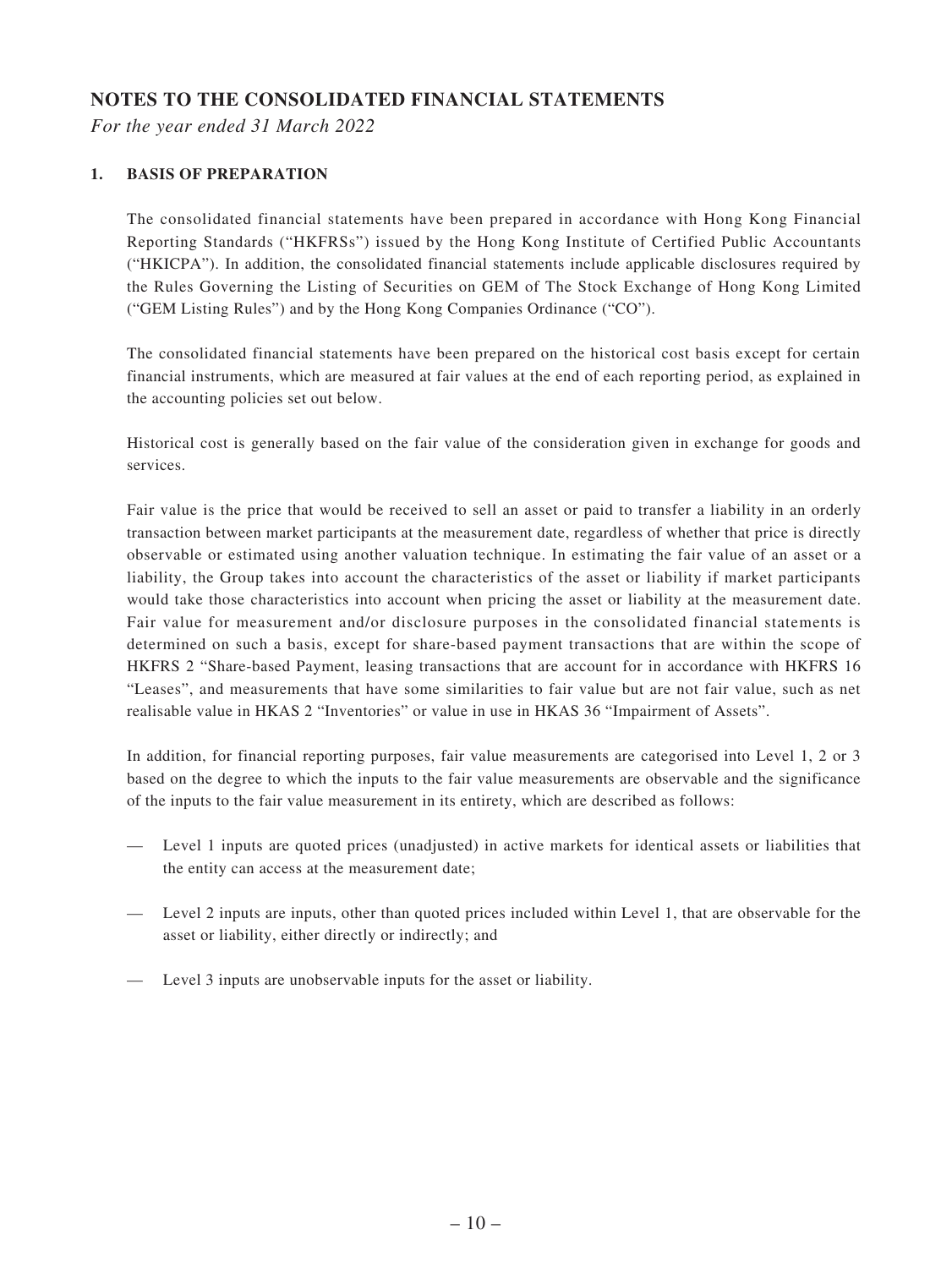# **NOTES TO THE CONSOLIDATED FINANCIAL STATEMENTS**

*For the year ended 31 March 2022*

#### **1. BASIS OF PREPARATION**

The consolidated financial statements have been prepared in accordance with Hong Kong Financial Reporting Standards ("HKFRSs") issued by the Hong Kong Institute of Certified Public Accountants ("HKICPA"). In addition, the consolidated financial statements include applicable disclosures required by the Rules Governing the Listing of Securities on GEM of The Stock Exchange of Hong Kong Limited ("GEM Listing Rules") and by the Hong Kong Companies Ordinance ("CO").

The consolidated financial statements have been prepared on the historical cost basis except for certain financial instruments, which are measured at fair values at the end of each reporting period, as explained in the accounting policies set out below.

Historical cost is generally based on the fair value of the consideration given in exchange for goods and services.

Fair value is the price that would be received to sell an asset or paid to transfer a liability in an orderly transaction between market participants at the measurement date, regardless of whether that price is directly observable or estimated using another valuation technique. In estimating the fair value of an asset or a liability, the Group takes into account the characteristics of the asset or liability if market participants would take those characteristics into account when pricing the asset or liability at the measurement date. Fair value for measurement and/or disclosure purposes in the consolidated financial statements is determined on such a basis, except for share-based payment transactions that are within the scope of HKFRS 2 "Share-based Payment, leasing transactions that are account for in accordance with HKFRS 16 "Leases", and measurements that have some similarities to fair value but are not fair value, such as net realisable value in HKAS 2 "Inventories" or value in use in HKAS 36 "Impairment of Assets".

In addition, for financial reporting purposes, fair value measurements are categorised into Level 1, 2 or 3 based on the degree to which the inputs to the fair value measurements are observable and the significance of the inputs to the fair value measurement in its entirety, which are described as follows:

- Level 1 inputs are quoted prices (unadjusted) in active markets for identical assets or liabilities that the entity can access at the measurement date;
- Level 2 inputs are inputs, other than quoted prices included within Level 1, that are observable for the asset or liability, either directly or indirectly; and
- Level 3 inputs are unobservable inputs for the asset or liability.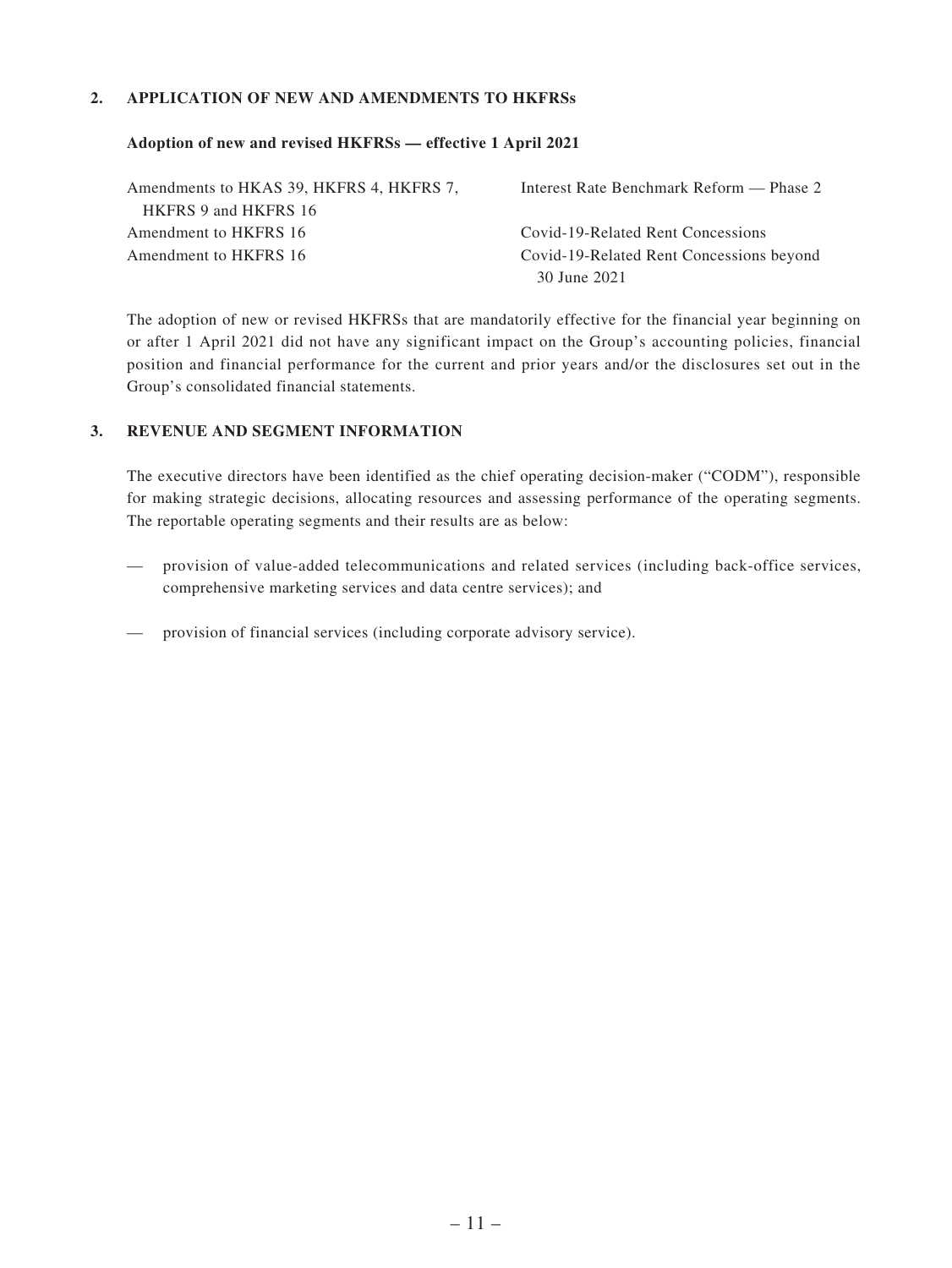#### **2. APPLICATION OF NEW AND AMENDMENTS TO HKFRSs**

#### **Adoption of new and revised HKFRSs — effective 1 April 2021**

| Amendments to HKAS 39, HKFRS 4, HKFRS 7, | Interest Rate Benchmark Reform — Phase 2 |
|------------------------------------------|------------------------------------------|
| HKFRS 9 and HKFRS 16                     |                                          |
| Amendment to HKFRS 16                    | Covid-19-Related Rent Concessions        |
| Amendment to HKFRS 16                    | Covid-19-Related Rent Concessions beyond |
|                                          | 30 June 2021                             |

The adoption of new or revised HKFRSs that are mandatorily effective for the financial year beginning on or after 1 April 2021 did not have any significant impact on the Group's accounting policies, financial position and financial performance for the current and prior years and/or the disclosures set out in the Group's consolidated financial statements.

#### **3. REVENUE AND SEGMENT INFORMATION**

The executive directors have been identified as the chief operating decision-maker ("CODM"), responsible for making strategic decisions, allocating resources and assessing performance of the operating segments. The reportable operating segments and their results are as below:

- provision of value-added telecommunications and related services (including back-office services, comprehensive marketing services and data centre services); and
- provision of financial services (including corporate advisory service).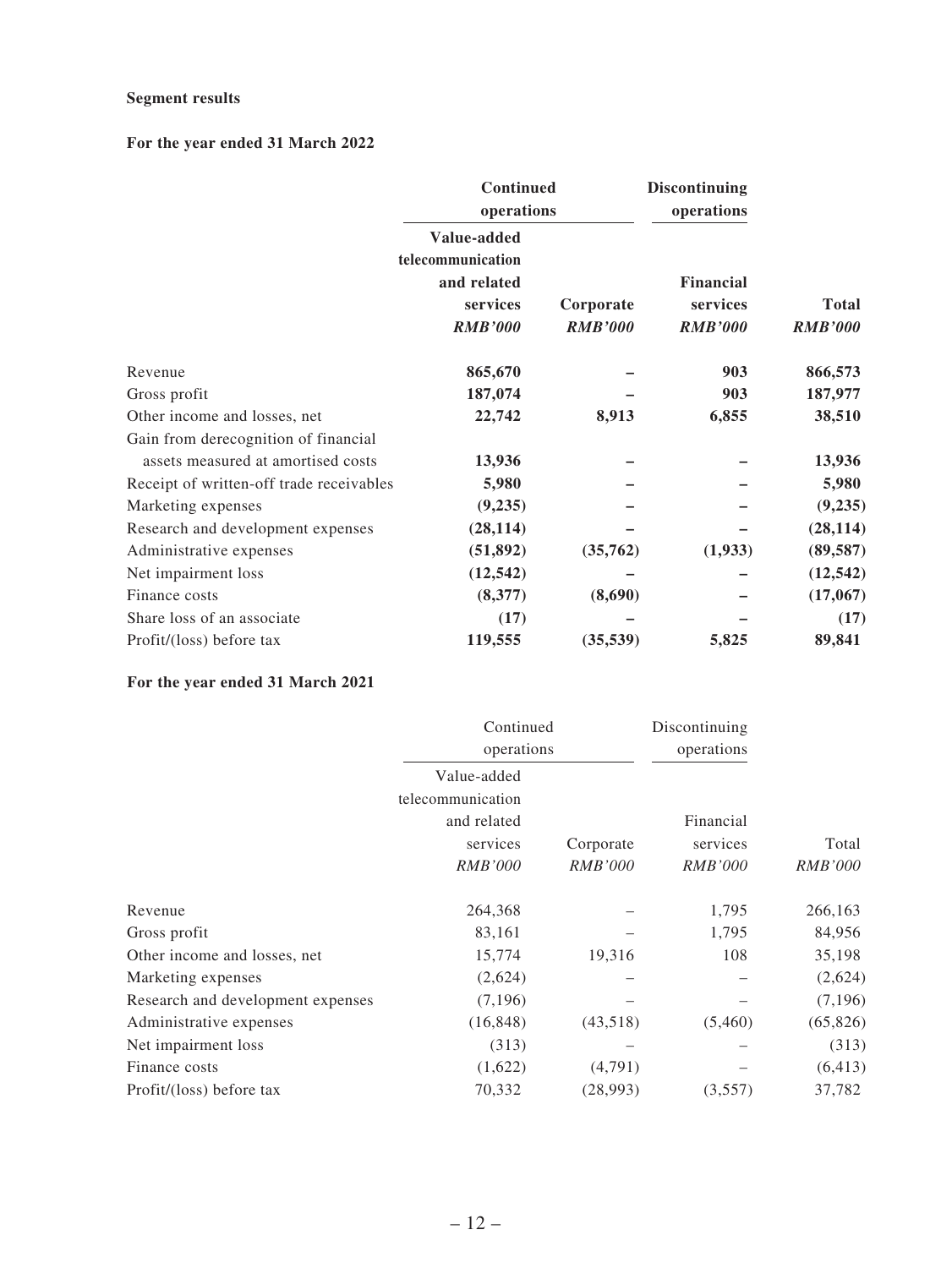#### **Segment results**

### **For the year ended 31 March 2022**

|                                          | Continued<br>operations<br>Value-added<br>telecommunication<br>and related<br>services<br>Corporate<br><b>RMB'000</b><br><b>RMB'000</b> |           | <b>Discontinuing</b><br>operations      |                                |
|------------------------------------------|-----------------------------------------------------------------------------------------------------------------------------------------|-----------|-----------------------------------------|--------------------------------|
|                                          |                                                                                                                                         |           | Financial<br>services<br><b>RMB'000</b> | <b>Total</b><br><b>RMB'000</b> |
| Revenue                                  | 865,670                                                                                                                                 |           | 903                                     | 866,573                        |
| Gross profit                             | 187,074                                                                                                                                 |           | 903                                     | 187,977                        |
| Other income and losses, net             | 22,742                                                                                                                                  | 8,913     | 6,855                                   | 38,510                         |
| Gain from derecognition of financial     |                                                                                                                                         |           |                                         |                                |
| assets measured at amortised costs       | 13,936                                                                                                                                  |           |                                         | 13,936                         |
| Receipt of written-off trade receivables | 5,980                                                                                                                                   |           |                                         | 5,980                          |
| Marketing expenses                       | (9,235)                                                                                                                                 |           |                                         | (9, 235)                       |
| Research and development expenses        | (28, 114)                                                                                                                               |           |                                         | (28, 114)                      |
| Administrative expenses                  | (51, 892)                                                                                                                               | (35,762)  | (1,933)                                 | (89, 587)                      |
| Net impairment loss                      | (12, 542)                                                                                                                               |           |                                         | (12, 542)                      |
| Finance costs                            | (8,377)                                                                                                                                 | (8,690)   |                                         | (17,067)                       |
| Share loss of an associate               | (17)                                                                                                                                    |           |                                         | (17)                           |
| Profit/(loss) before tax                 | 119,555                                                                                                                                 | (35, 539) | 5,825                                   | 89,841                         |

### **For the year ended 31 March 2021**

|                                   | Continued<br>operations |                | Discontinuing  |                |
|-----------------------------------|-------------------------|----------------|----------------|----------------|
|                                   |                         |                | operations     |                |
|                                   | Value-added             |                |                |                |
|                                   | telecommunication       |                |                |                |
|                                   | and related             |                | Financial      |                |
|                                   | services                | Corporate      | services       | Total          |
|                                   | <i>RMB'000</i>          | <i>RMB'000</i> | <i>RMB'000</i> | <i>RMB'000</i> |
| Revenue                           | 264,368                 |                | 1,795          | 266,163        |
| Gross profit                      | 83,161                  |                | 1,795          | 84,956         |
| Other income and losses, net      | 15,774                  | 19,316         | 108            | 35,198         |
| Marketing expenses                | (2,624)                 |                |                | (2,624)        |
| Research and development expenses | (7,196)                 |                |                | (7,196)        |
| Administrative expenses           | (16, 848)               | (43,518)       | (5,460)        | (65, 826)      |
| Net impairment loss               | (313)                   |                |                | (313)          |
| Finance costs                     | (1,622)                 | (4,791)        |                | (6, 413)       |
| Profit/(loss) before tax          | 70,332                  | (28,993)       | (3,557)        | 37,782         |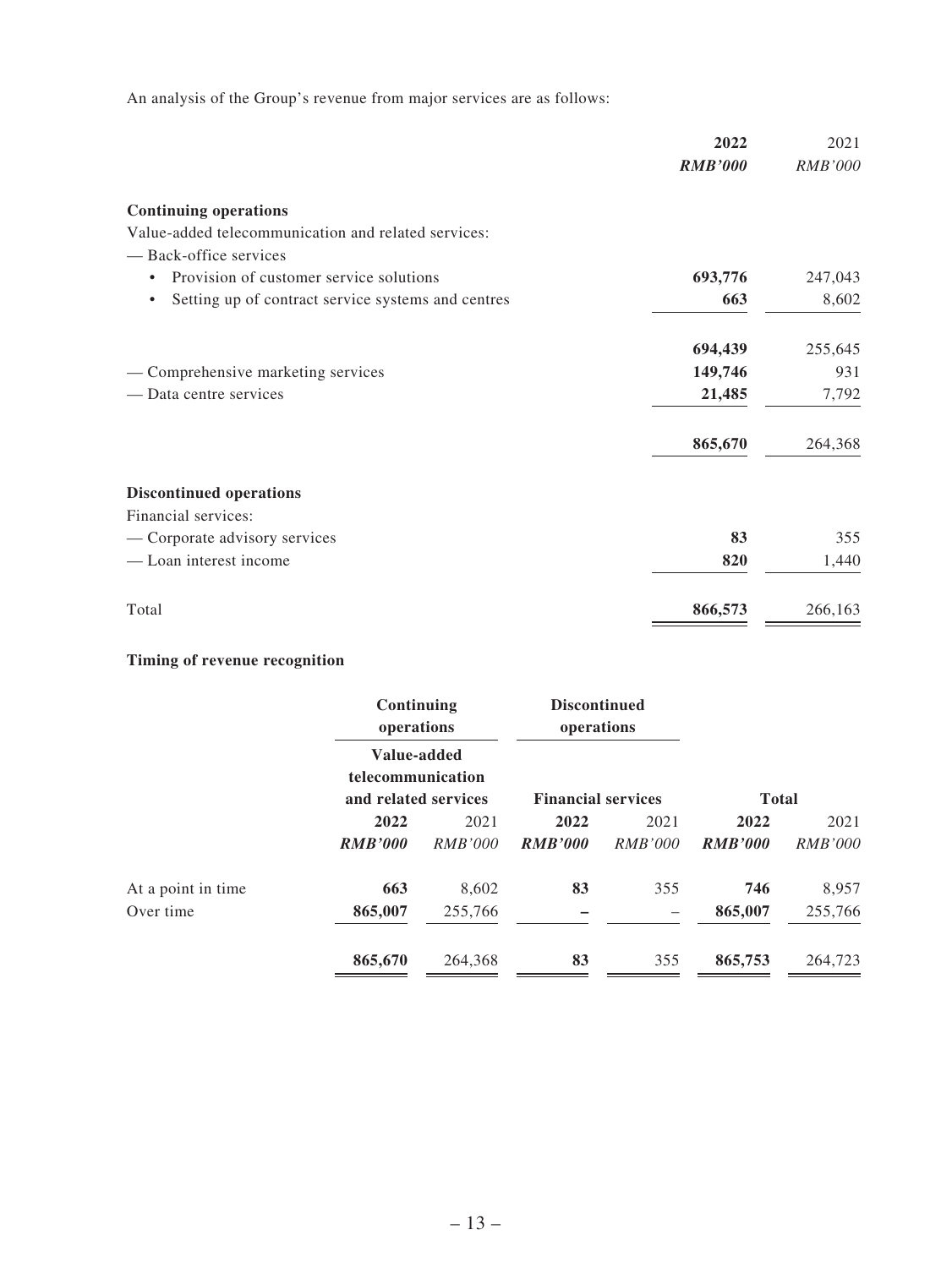An analysis of the Group's revenue from major services are as follows:

| 2022                                                      | 2021           |
|-----------------------------------------------------------|----------------|
| <b>RMB'000</b>                                            | <b>RMB'000</b> |
| <b>Continuing operations</b>                              |                |
| Value-added telecommunication and related services:       |                |
| - Back-office services                                    |                |
| 693,776<br>Provision of customer service solutions<br>٠   | 247,043        |
| 663<br>Setting up of contract service systems and centres | 8,602          |
| 694,439                                                   | 255,645        |
| 149,746<br>- Comprehensive marketing services             | 931            |
| 21,485<br>- Data centre services                          | 7,792          |
| 865,670                                                   | 264,368        |
| <b>Discontinued operations</b>                            |                |
| Financial services:                                       |                |
| 83<br>— Corporate advisory services                       | 355            |
| - Loan interest income<br>820                             | 1,440          |
| Total<br>866,573                                          | 266,163        |

# **Timing of revenue recognition**

|                    |                | Continuing<br>operations<br>Value-added<br>telecommunication<br>and related services |                | <b>Discontinued</b><br>operations |                |                |
|--------------------|----------------|--------------------------------------------------------------------------------------|----------------|-----------------------------------|----------------|----------------|
|                    |                |                                                                                      |                | <b>Financial services</b>         | <b>Total</b>   |                |
|                    | 2022           |                                                                                      | 2022           | 2021                              | 2022           | 2021           |
|                    | <b>RMB'000</b> | <i>RMB'000</i>                                                                       | <b>RMB'000</b> | <i>RMB'000</i>                    | <b>RMB'000</b> | <i>RMB'000</i> |
| At a point in time | 663            | 8,602                                                                                | 83             | 355                               | 746            | 8,957          |
| Over time          | 865,007        | 255,766                                                                              | -              |                                   | 865,007        | 255,766        |
|                    | 865,670        | 264,368                                                                              | 83             | 355                               | 865,753        | 264,723        |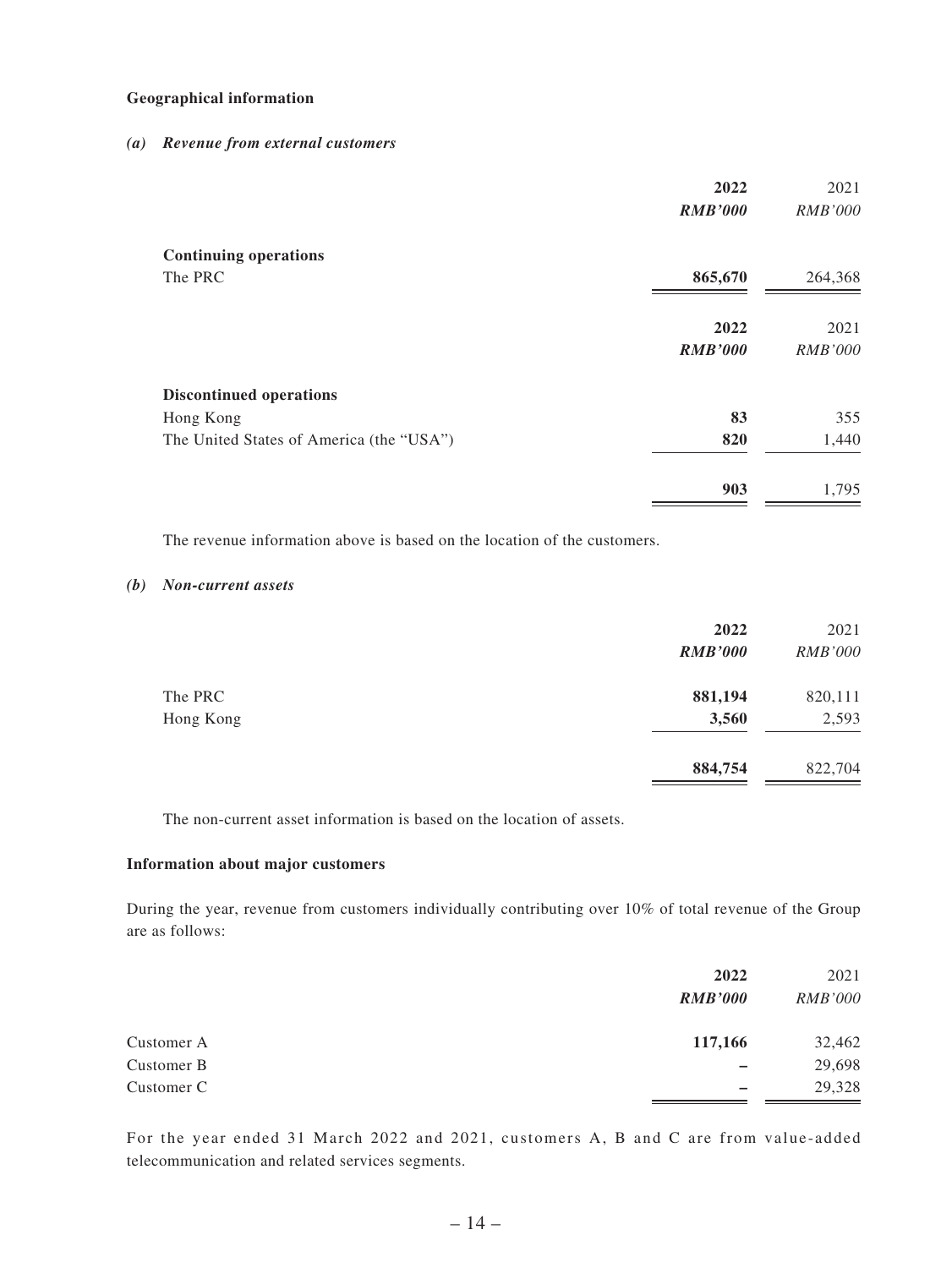#### **Geographical information**

#### *(a) Revenue from external customers*

|                                          | 2022           | 2021           |
|------------------------------------------|----------------|----------------|
|                                          | <b>RMB'000</b> | <i>RMB'000</i> |
| <b>Continuing operations</b>             |                |                |
| The PRC                                  | 865,670        | 264,368        |
|                                          | 2022           | 2021           |
|                                          | <b>RMB'000</b> | <i>RMB'000</i> |
| <b>Discontinued operations</b>           |                |                |
| Hong Kong                                | 83             | 355            |
| The United States of America (the "USA") | 820            | 1,440          |
|                                          | 903            | 1,795          |
|                                          |                |                |

The revenue information above is based on the location of the customers.

#### *(b) Non-current assets*

|           | 2022           | 2021           |
|-----------|----------------|----------------|
|           | <b>RMB'000</b> | <i>RMB'000</i> |
| The PRC   | 881,194        | 820,111        |
| Hong Kong | 3,560          | 2,593          |
|           | 884,754        | 822,704        |
|           |                |                |

The non-current asset information is based on the location of assets.

#### **Information about major customers**

During the year, revenue from customers individually contributing over 10% of total revenue of the Group are as follows:

|            | 2022<br><b>RMB'000</b> | 2021<br><i>RMB'000</i> |
|------------|------------------------|------------------------|
| Customer A | 117,166                | 32,462                 |
| Customer B |                        | 29,698                 |
| Customer C |                        | 29,328                 |

For the year ended 31 March 2022 and 2021, customers A, B and C are from value-added telecommunication and related services segments.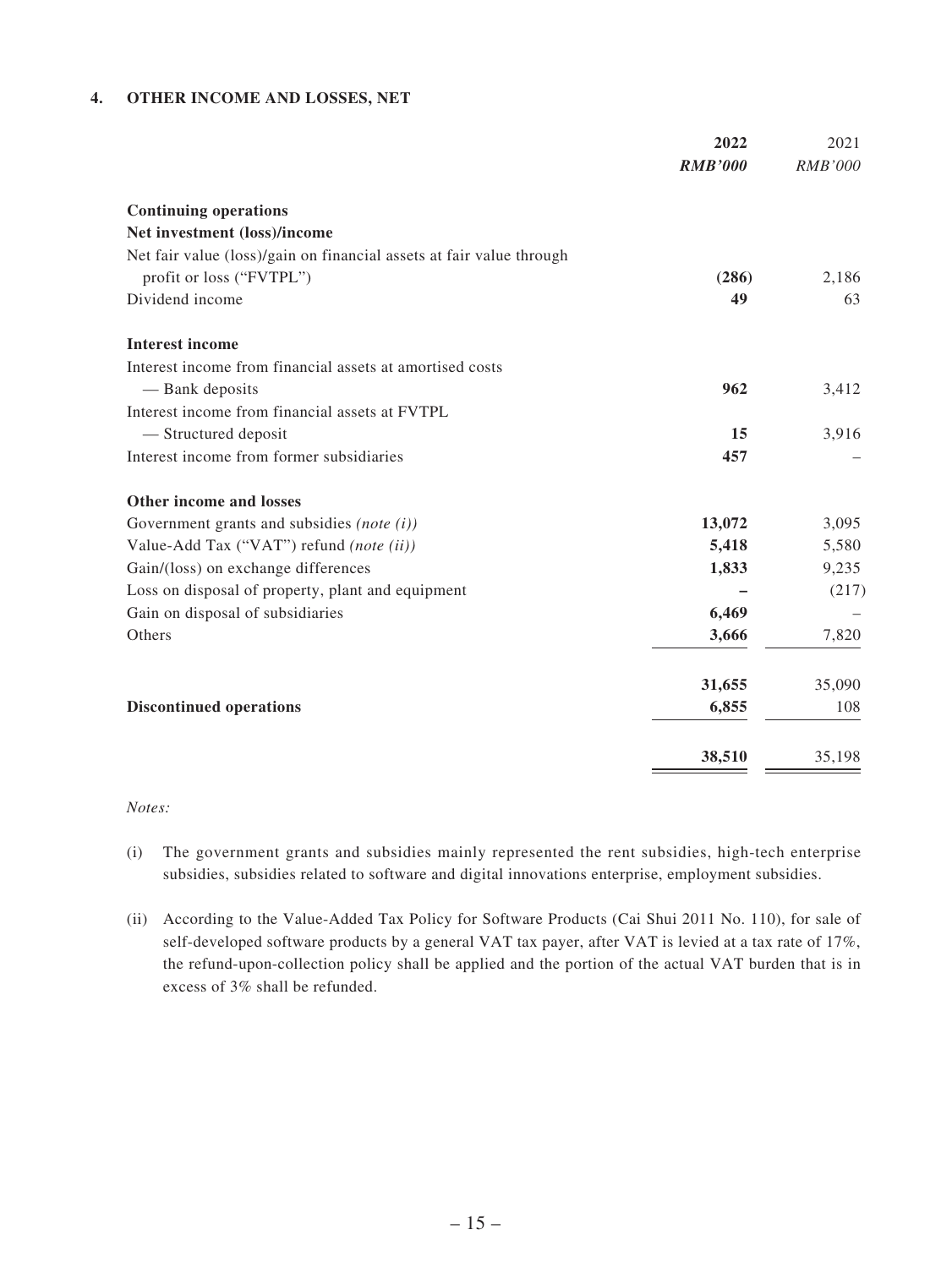#### **4. OTHER INCOME AND LOSSES, NET**

|                                                                      | 2022           | 2021           |
|----------------------------------------------------------------------|----------------|----------------|
|                                                                      | <b>RMB'000</b> | <b>RMB'000</b> |
| <b>Continuing operations</b>                                         |                |                |
| Net investment (loss)/income                                         |                |                |
| Net fair value (loss)/gain on financial assets at fair value through |                |                |
| profit or loss ("FVTPL")                                             | (286)          | 2,186          |
| Dividend income                                                      | 49             | 63             |
| <b>Interest income</b>                                               |                |                |
| Interest income from financial assets at amortised costs             |                |                |
| — Bank deposits                                                      | 962            | 3,412          |
| Interest income from financial assets at FVTPL                       |                |                |
| - Structured deposit                                                 | 15             | 3,916          |
| Interest income from former subsidiaries                             | 457            |                |
| Other income and losses                                              |                |                |
| Government grants and subsidies (note $(i)$ )                        | 13,072         | 3,095          |
| Value-Add Tax ("VAT") refund (note (ii))                             | 5,418          | 5,580          |
| Gain/(loss) on exchange differences                                  | 1,833          | 9,235          |
| Loss on disposal of property, plant and equipment                    |                | (217)          |
| Gain on disposal of subsidiaries                                     | 6,469          |                |
| Others                                                               | 3,666          | 7,820          |
|                                                                      | 31,655         | 35,090         |
| <b>Discontinued operations</b>                                       | 6,855          | 108            |
|                                                                      | 38,510         | 35,198         |

#### *Notes:*

- (i) The government grants and subsidies mainly represented the rent subsidies, high-tech enterprise subsidies, subsidies related to software and digital innovations enterprise, employment subsidies.
- (ii) According to the Value-Added Tax Policy for Software Products (Cai Shui 2011 No. 110), for sale of self-developed software products by a general VAT tax payer, after VAT is levied at a tax rate of 17%, the refund-upon-collection policy shall be applied and the portion of the actual VAT burden that is in excess of 3% shall be refunded.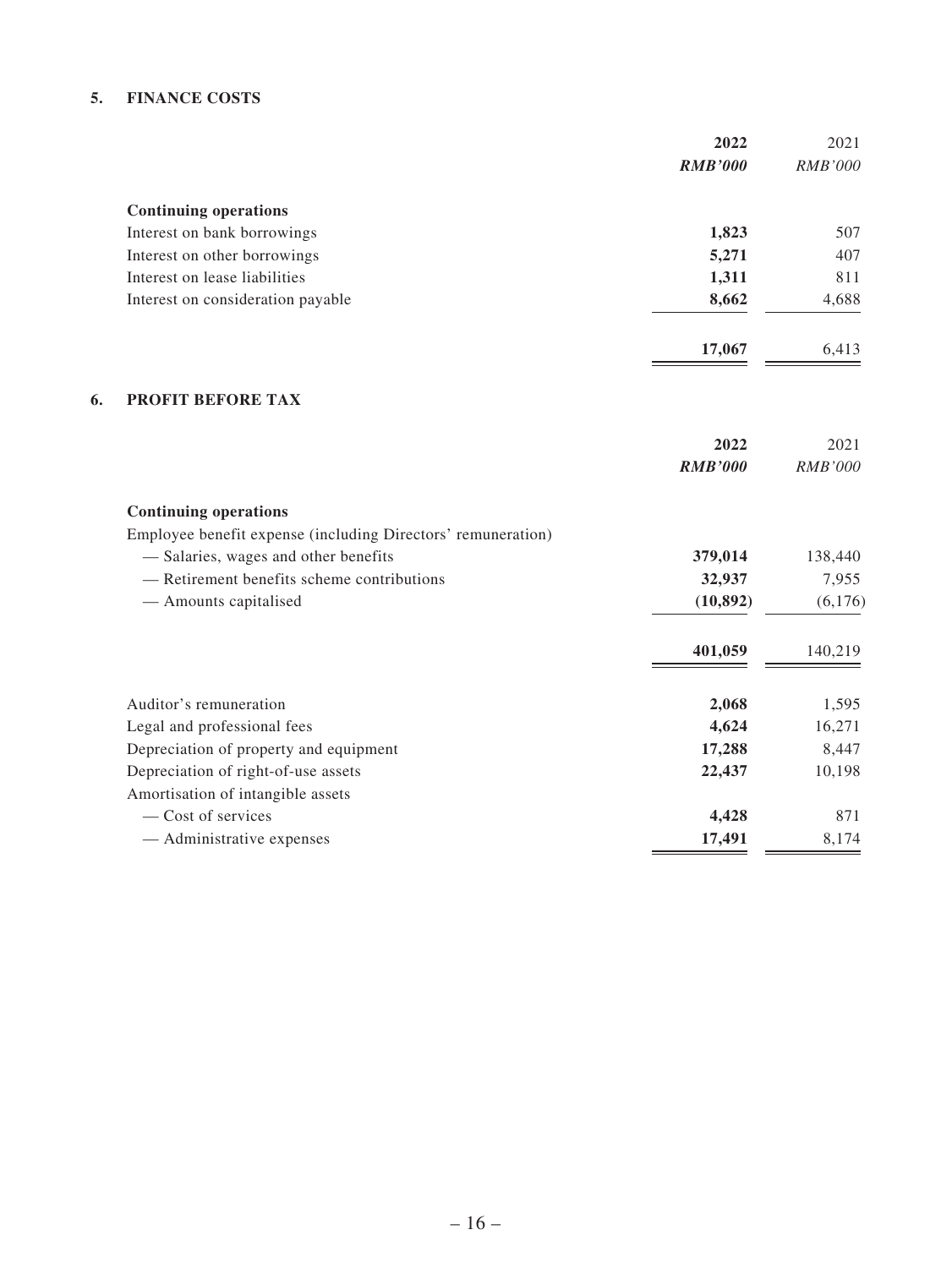#### **5. FINANCE COSTS**

|                                                              | 2022<br><b>RMB'000</b> | 2021<br>RMB'000 |
|--------------------------------------------------------------|------------------------|-----------------|
| <b>Continuing operations</b>                                 |                        |                 |
| Interest on bank borrowings                                  | 1,823                  | 507             |
| Interest on other borrowings                                 | 5,271                  | 407             |
| Interest on lease liabilities                                | 1,311                  | 811             |
| Interest on consideration payable                            | 8,662                  | 4,688           |
|                                                              | 17,067                 | 6,413           |
| 6.<br>PROFIT BEFORE TAX                                      |                        |                 |
|                                                              | 2022                   | 2021            |
|                                                              | <b>RMB'000</b>         | RMB'000         |
| <b>Continuing operations</b>                                 |                        |                 |
| Employee benefit expense (including Directors' remuneration) |                        |                 |
| - Salaries, wages and other benefits                         | 379,014                | 138,440         |
| - Retirement benefits scheme contributions                   | 32,937                 | 7,955           |
| - Amounts capitalised                                        | (10, 892)              | (6,176)         |
|                                                              | 401,059                | 140,219         |
| Auditor's remuneration                                       | 2,068                  | 1,595           |
| Legal and professional fees                                  | 4,624                  | 16,271          |
| Depreciation of property and equipment                       | 17,288                 | 8,447           |
| Depreciation of right-of-use assets                          | 22,437                 | 10,198          |
| Amortisation of intangible assets                            |                        |                 |
| - Cost of services                                           | 4,428                  | 871             |
| - Administrative expenses                                    | 17,491                 | 8,174           |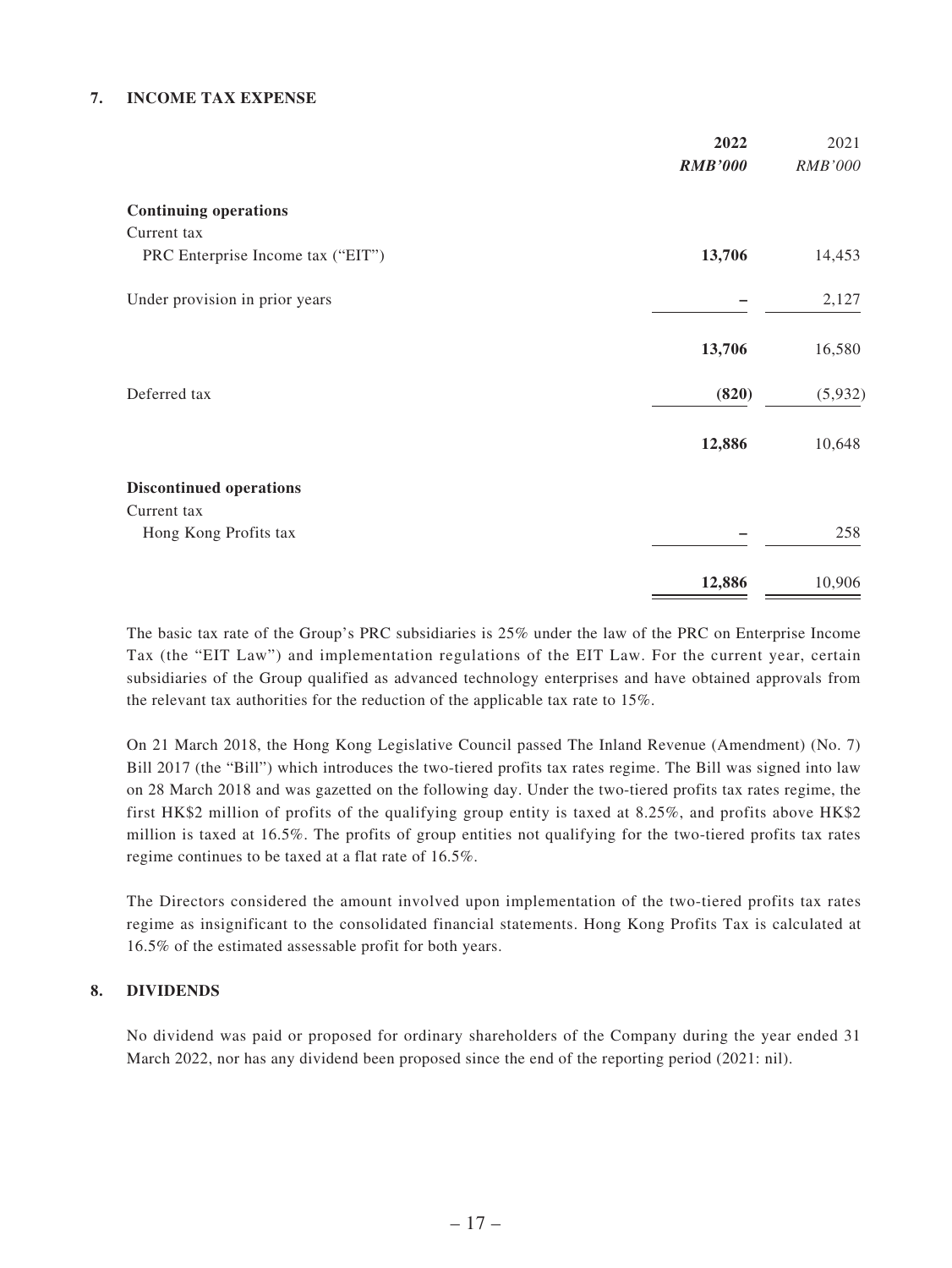#### **7. INCOME TAX EXPENSE**

|                                   | 2022<br><b>RMB'000</b> | 2021<br>RMB'000 |
|-----------------------------------|------------------------|-----------------|
| <b>Continuing operations</b>      |                        |                 |
| Current tax                       |                        |                 |
| PRC Enterprise Income tax ("EIT") | 13,706                 | 14,453          |
| Under provision in prior years    |                        | 2,127           |
|                                   | 13,706                 | 16,580          |
| Deferred tax                      | (820)                  | (5,932)         |
|                                   | 12,886                 | 10,648          |
| <b>Discontinued operations</b>    |                        |                 |
| Current tax                       |                        |                 |
| Hong Kong Profits tax             |                        | 258             |
|                                   | 12,886                 | 10,906          |

The basic tax rate of the Group's PRC subsidiaries is 25% under the law of the PRC on Enterprise Income Tax (the "EIT Law") and implementation regulations of the EIT Law. For the current year, certain subsidiaries of the Group qualified as advanced technology enterprises and have obtained approvals from the relevant tax authorities for the reduction of the applicable tax rate to 15%.

On 21 March 2018, the Hong Kong Legislative Council passed The Inland Revenue (Amendment) (No. 7) Bill 2017 (the "Bill") which introduces the two-tiered profits tax rates regime. The Bill was signed into law on 28 March 2018 and was gazetted on the following day. Under the two-tiered profits tax rates regime, the first HK\$2 million of profits of the qualifying group entity is taxed at 8.25%, and profits above HK\$2 million is taxed at 16.5%. The profits of group entities not qualifying for the two-tiered profits tax rates regime continues to be taxed at a flat rate of 16.5%.

The Directors considered the amount involved upon implementation of the two-tiered profits tax rates regime as insignificant to the consolidated financial statements. Hong Kong Profits Tax is calculated at 16.5% of the estimated assessable profit for both years.

#### **8. DIVIDENDS**

No dividend was paid or proposed for ordinary shareholders of the Company during the year ended 31 March 2022, nor has any dividend been proposed since the end of the reporting period (2021: nil).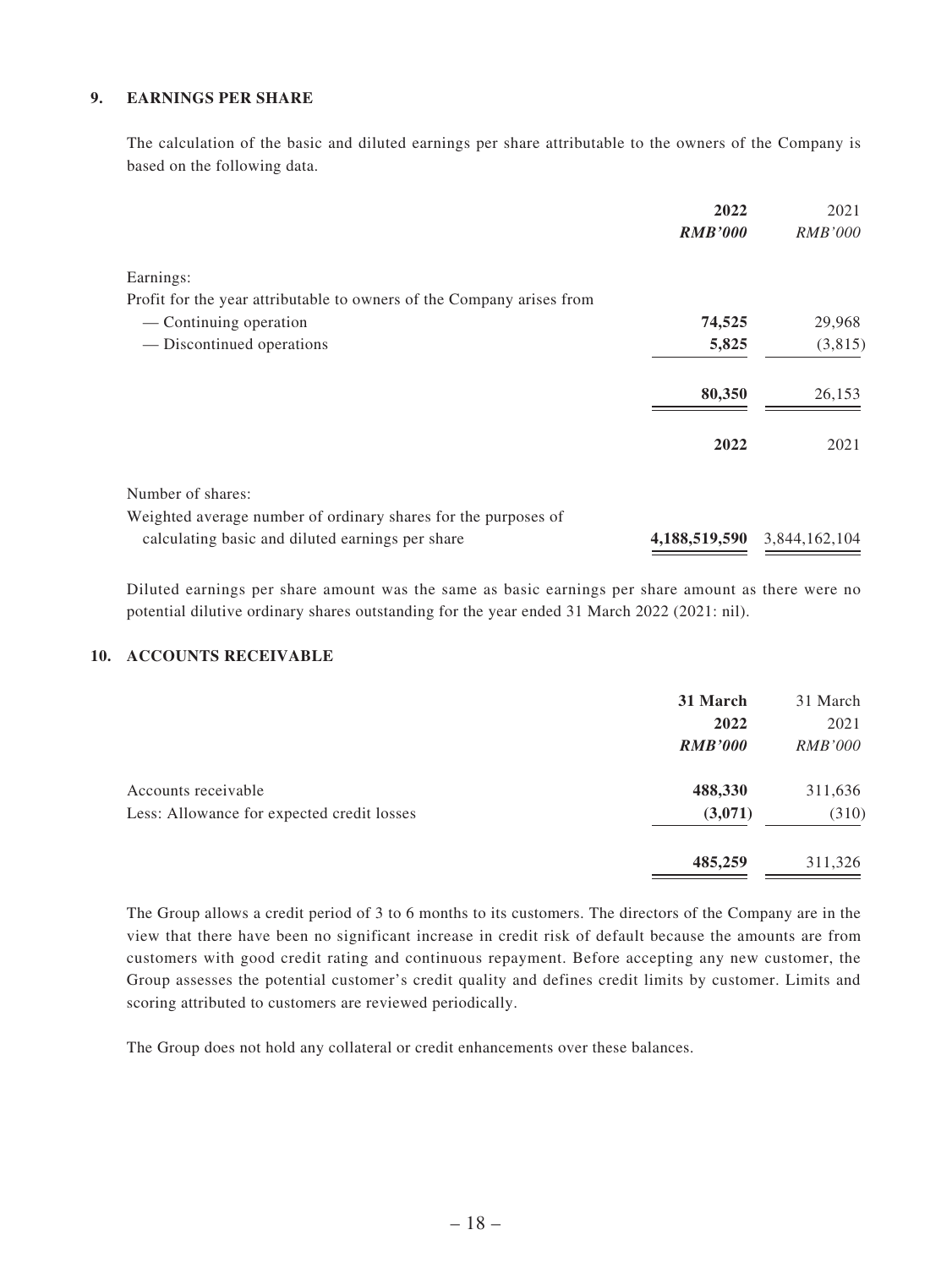#### **9. EARNINGS PER SHARE**

The calculation of the basic and diluted earnings per share attributable to the owners of the Company is based on the following data.

|                                                                       | 2022           | 2021                        |
|-----------------------------------------------------------------------|----------------|-----------------------------|
|                                                                       | <b>RMB'000</b> | <i>RMB'000</i>              |
| Earnings:                                                             |                |                             |
| Profit for the year attributable to owners of the Company arises from |                |                             |
| — Continuing operation                                                | 74,525         | 29,968                      |
| — Discontinued operations                                             | 5,825          | (3,815)                     |
|                                                                       | 80,350         | 26,153                      |
|                                                                       | 2022           | 2021                        |
| Number of shares:                                                     |                |                             |
| Weighted average number of ordinary shares for the purposes of        |                |                             |
| calculating basic and diluted earnings per share                      |                | 4,188,519,590 3,844,162,104 |

Diluted earnings per share amount was the same as basic earnings per share amount as there were no potential dilutive ordinary shares outstanding for the year ended 31 March 2022 (2021: nil).

#### **10. ACCOUNTS RECEIVABLE**

|                                                                   | 31 March<br>2022<br><b>RMB'000</b> | 31 March<br>2021<br><i>RMB'000</i> |
|-------------------------------------------------------------------|------------------------------------|------------------------------------|
| Accounts receivable<br>Less: Allowance for expected credit losses | 488,330<br>(3,071)                 | 311,636<br>(310)                   |
|                                                                   | 485,259                            | 311,326                            |

The Group allows a credit period of 3 to 6 months to its customers. The directors of the Company are in the view that there have been no significant increase in credit risk of default because the amounts are from customers with good credit rating and continuous repayment. Before accepting any new customer, the Group assesses the potential customer's credit quality and defines credit limits by customer. Limits and scoring attributed to customers are reviewed periodically.

The Group does not hold any collateral or credit enhancements over these balances.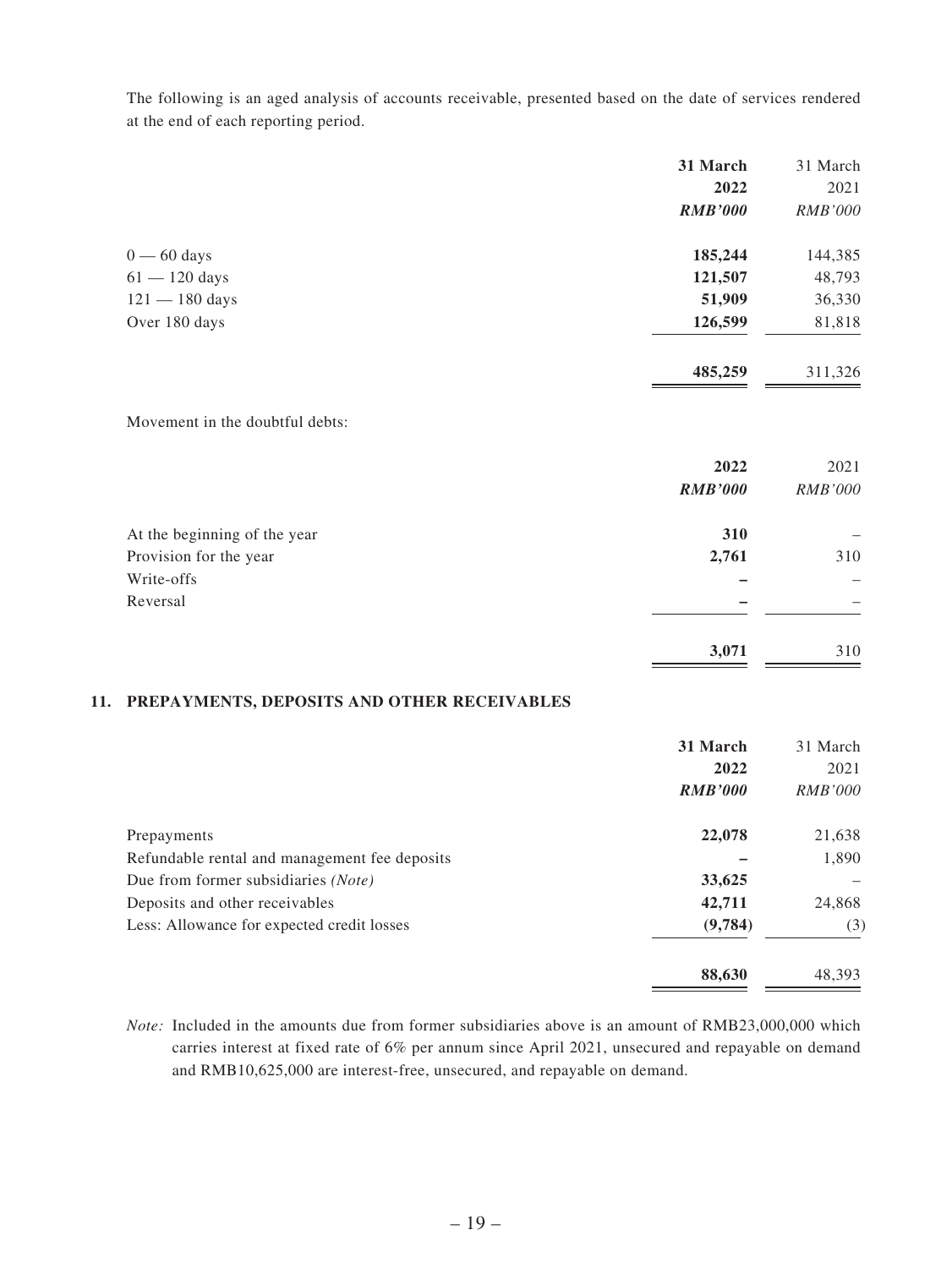The following is an aged analysis of accounts receivable, presented based on the date of services rendered at the end of each reporting period.

|                  | 31 March       | 31 March       |
|------------------|----------------|----------------|
|                  | 2022           | 2021           |
|                  | <b>RMB'000</b> | <i>RMB'000</i> |
| $0 - 60$ days    | 185,244        | 144,385        |
| $61 - 120$ days  | 121,507        | 48,793         |
| $121 - 180$ days | 51,909         | 36,330         |
| Over 180 days    | 126,599        | 81,818         |
|                  | 485,259        | 311,326        |

#### Movement in the doubtful debts:

|                              | 2022<br><b>RMB'000</b> | 2021<br><b>RMB'000</b> |
|------------------------------|------------------------|------------------------|
|                              |                        |                        |
| At the beginning of the year | 310                    |                        |
| Provision for the year       | 2,761                  | 310                    |
| Write-offs                   |                        |                        |
| Reversal                     | –                      |                        |
|                              |                        |                        |
|                              | 3,071                  | 310                    |

#### **11. PREPAYMENTS, DEPOSITS AND OTHER RECEIVABLES**

|                                               | 31 March       | 31 March       |
|-----------------------------------------------|----------------|----------------|
|                                               | 2022           | 2021           |
|                                               | <b>RMB'000</b> | <i>RMB'000</i> |
| Prepayments                                   | 22,078         | 21,638         |
| Refundable rental and management fee deposits |                | 1,890          |
| Due from former subsidiaries (Note)           | 33,625         |                |
| Deposits and other receivables                | 42,711         | 24,868         |
| Less: Allowance for expected credit losses    | (9,784)        | (3)            |
|                                               | 88,630         | 48,393         |

*Note:* Included in the amounts due from former subsidiaries above is an amount of RMB23,000,000 which carries interest at fixed rate of 6% per annum since April 2021, unsecured and repayable on demand and RMB10,625,000 are interest-free, unsecured, and repayable on demand.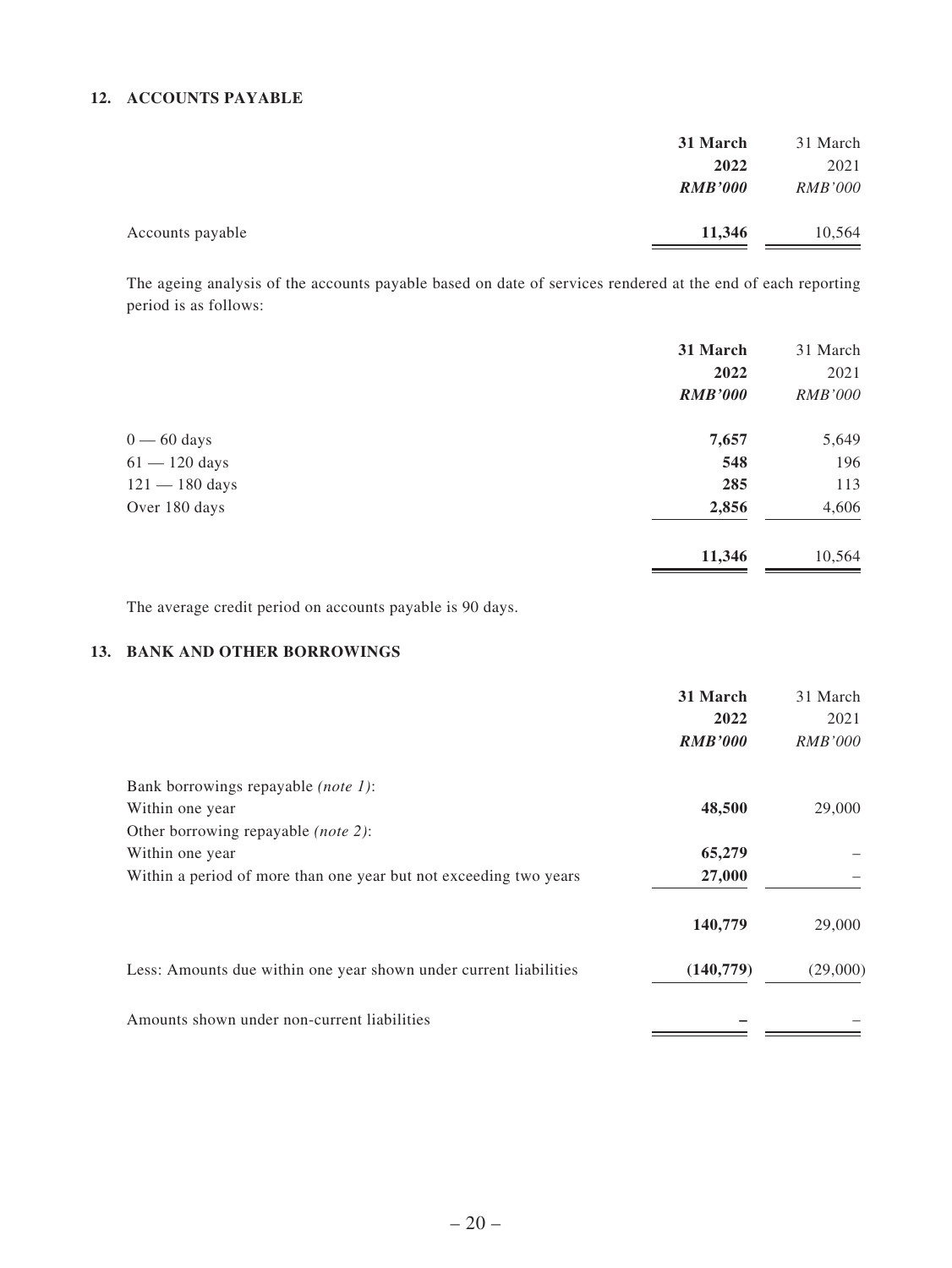#### **12. ACCOUNTS PAYABLE**

|                  | 31 March       | 31 March       |
|------------------|----------------|----------------|
|                  | 2022           | 2021           |
|                  | <b>RMB'000</b> | <i>RMB'000</i> |
| Accounts payable | 11,346         | 10,564         |

The ageing analysis of the accounts payable based on date of services rendered at the end of each reporting period is as follows:

|                  | 31 March       | 31 March       |
|------------------|----------------|----------------|
|                  | 2022           | 2021           |
|                  | <b>RMB'000</b> | <i>RMB'000</i> |
| $0 - 60$ days    | 7,657          | 5,649          |
| $61 - 120$ days  | 548            | 196            |
| $121 - 180$ days | 285            | 113            |
| Over 180 days    | 2,856          | 4,606          |
|                  | 11,346         | 10,564         |

The average credit period on accounts payable is 90 days.

#### **13. BANK AND OTHER BORROWINGS**

|                                                                   | 31 March       | 31 March       |
|-------------------------------------------------------------------|----------------|----------------|
|                                                                   | 2022           | 2021           |
|                                                                   | <b>RMB'000</b> | <i>RMB'000</i> |
| Bank borrowings repayable (note 1):                               |                |                |
| Within one year                                                   | 48,500         | 29,000         |
| Other borrowing repayable <i>(note 2)</i> :                       |                |                |
| Within one year                                                   | 65,279         |                |
| Within a period of more than one year but not exceeding two years | 27,000         |                |
|                                                                   | 140,779        | 29,000         |
| Less: Amounts due within one year shown under current liabilities | (140, 779)     | (29,000)       |
| Amounts shown under non-current liabilities                       |                |                |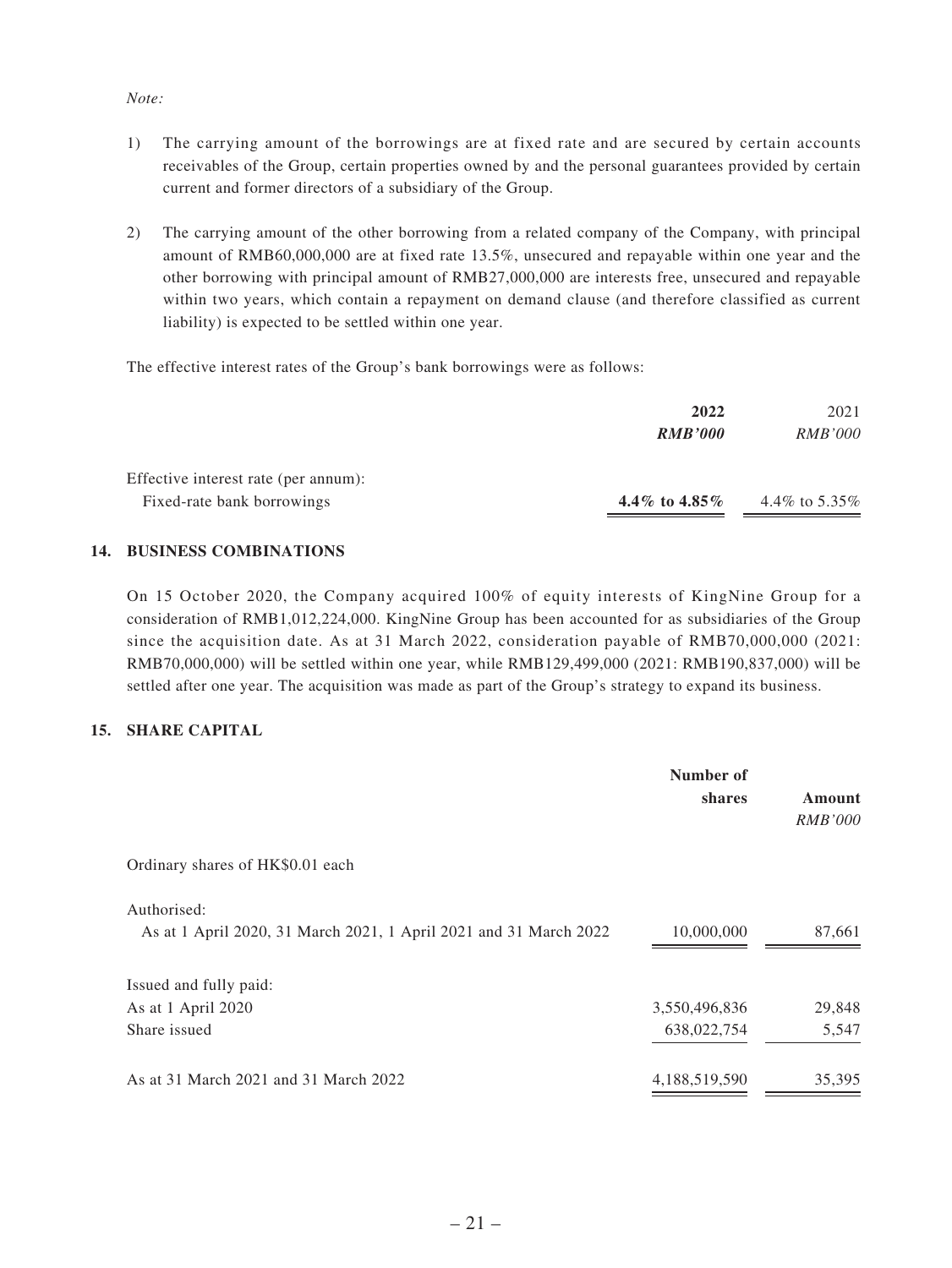#### *Note:*

- 1) The carrying amount of the borrowings are at fixed rate and are secured by certain accounts receivables of the Group, certain properties owned by and the personal guarantees provided by certain current and former directors of a subsidiary of the Group.
- 2) The carrying amount of the other borrowing from a related company of the Company, with principal amount of RMB60,000,000 are at fixed rate 13.5%, unsecured and repayable within one year and the other borrowing with principal amount of RMB27,000,000 are interests free, unsecured and repayable within two years, which contain a repayment on demand clause (and therefore classified as current liability) is expected to be settled within one year.

The effective interest rates of the Group's bank borrowings were as follows:

|                                      | 2022            | 2021            |
|--------------------------------------|-----------------|-----------------|
|                                      | <b>RMB'000</b>  | <i>RMB'000</i>  |
| Effective interest rate (per annum): |                 |                 |
| Fixed-rate bank borrowings           | 4.4\% to 4.85\% | 4.4\% to 5.35\% |

#### **14. BUSINESS COMBINATIONS**

On 15 October 2020, the Company acquired 100% of equity interests of KingNine Group for a consideration of RMB1,012,224,000. KingNine Group has been accounted for as subsidiaries of the Group since the acquisition date. As at 31 March 2022, consideration payable of RMB70,000,000 (2021: RMB70,000,000) will be settled within one year, while RMB129,499,000 (2021: RMB190,837,000) will be settled after one year. The acquisition was made as part of the Group's strategy to expand its business.

#### **15. SHARE CAPITAL**

|                                                                                  | Number of<br>shares | Amount<br><i>RMB'000</i> |
|----------------------------------------------------------------------------------|---------------------|--------------------------|
| Ordinary shares of HK\$0.01 each                                                 |                     |                          |
| Authorised:<br>As at 1 April 2020, 31 March 2021, 1 April 2021 and 31 March 2022 | 10,000,000          | 87,661                   |
| Issued and fully paid:                                                           |                     |                          |
| As at 1 April 2020                                                               | 3,550,496,836       | 29,848                   |
| Share issued                                                                     | 638,022,754         | 5,547                    |
| As at 31 March 2021 and 31 March 2022                                            | 4,188,519,590       | 35,395                   |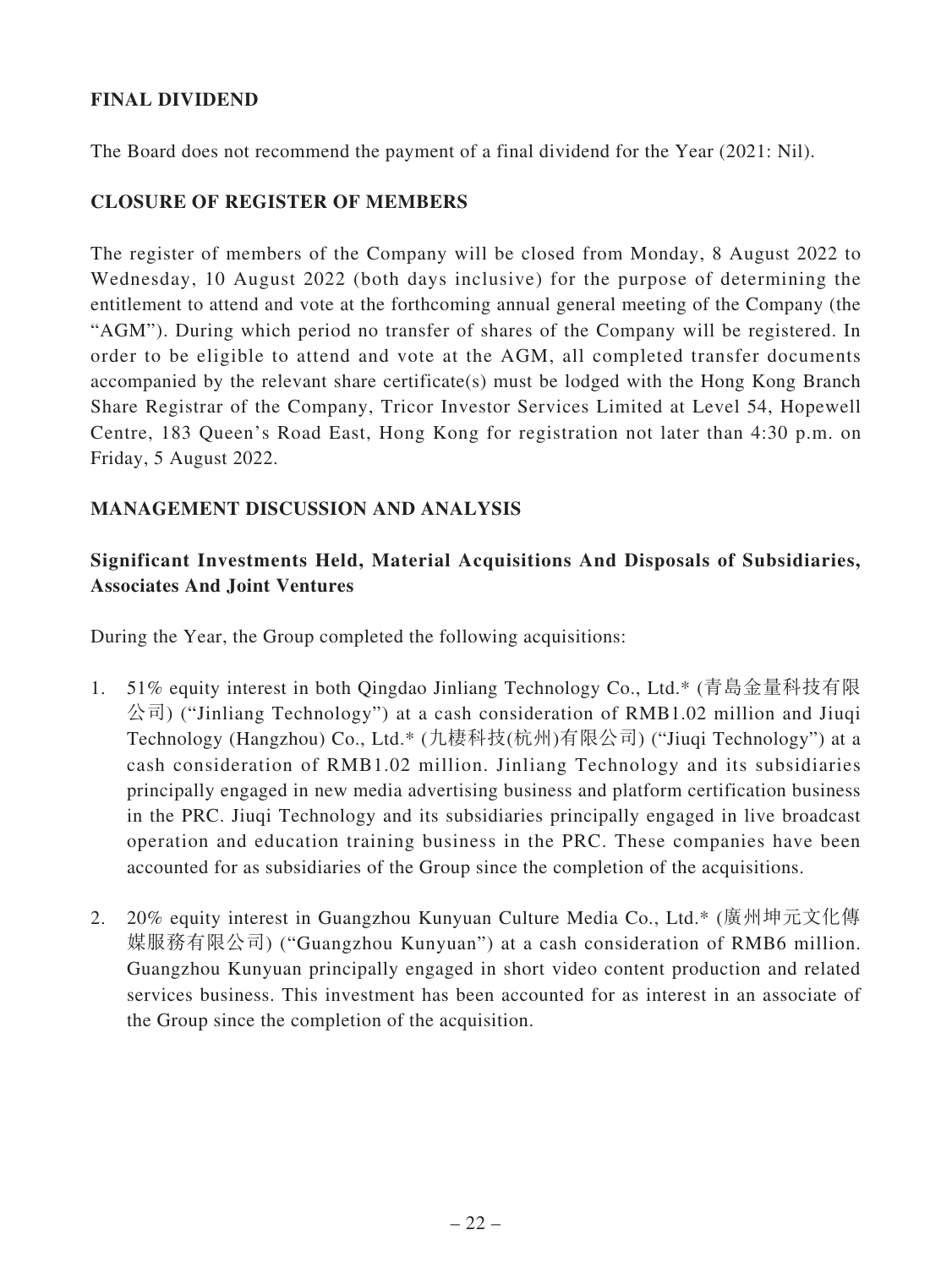# **FINAL DIVIDEND**

The Board does not recommend the payment of a final dividend for the Year (2021: Nil).

### **CLOSURE OF REGISTER OF MEMBERS**

The register of members of the Company will be closed from Monday, 8 August 2022 to Wednesday, 10 August 2022 (both days inclusive) for the purpose of determining the entitlement to attend and vote at the forthcoming annual general meeting of the Company (the "AGM"). During which period no transfer of shares of the Company will be registered. In order to be eligible to attend and vote at the AGM, all completed transfer documents accompanied by the relevant share certificate(s) must be lodged with the Hong Kong Branch Share Registrar of the Company, Tricor Investor Services Limited at Level 54, Hopewell Centre, 183 Queen's Road East, Hong Kong for registration not later than 4:30 p.m. on Friday, 5 August 2022.

# **MANAGEMENT DISCUSSION AND ANALYSIS**

# **Significant Investments Held, Material Acquisitions And Disposals of Subsidiaries, Associates And Joint Ventures**

During the Year, the Group completed the following acquisitions:

- 1. 51% equity interest in both Qingdao Jinliang Technology Co., Ltd.\* (青島金量科技有限 公司) ("Jinliang Technology") at a cash consideration of RMB1.02 million and Jiuqi Technology (Hangzhou) Co., Ltd.\* (九棲科技(杭州)有限公司) ("Jiuqi Technology") at a cash consideration of RMB1.02 million. Jinliang Technology and its subsidiaries principally engaged in new media advertising business and platform certification business in the PRC. Jiuqi Technology and its subsidiaries principally engaged in live broadcast operation and education training business in the PRC. These companies have been accounted for as subsidiaries of the Group since the completion of the acquisitions.
- 2. 20% equity interest in Guangzhou Kunyuan Culture Media Co., Ltd.\* (廣州坤元文化傳 媒服務有限公司) ("Guangzhou Kunyuan") at a cash consideration of RMB6 million. Guangzhou Kunyuan principally engaged in short video content production and related services business. This investment has been accounted for as interest in an associate of the Group since the completion of the acquisition.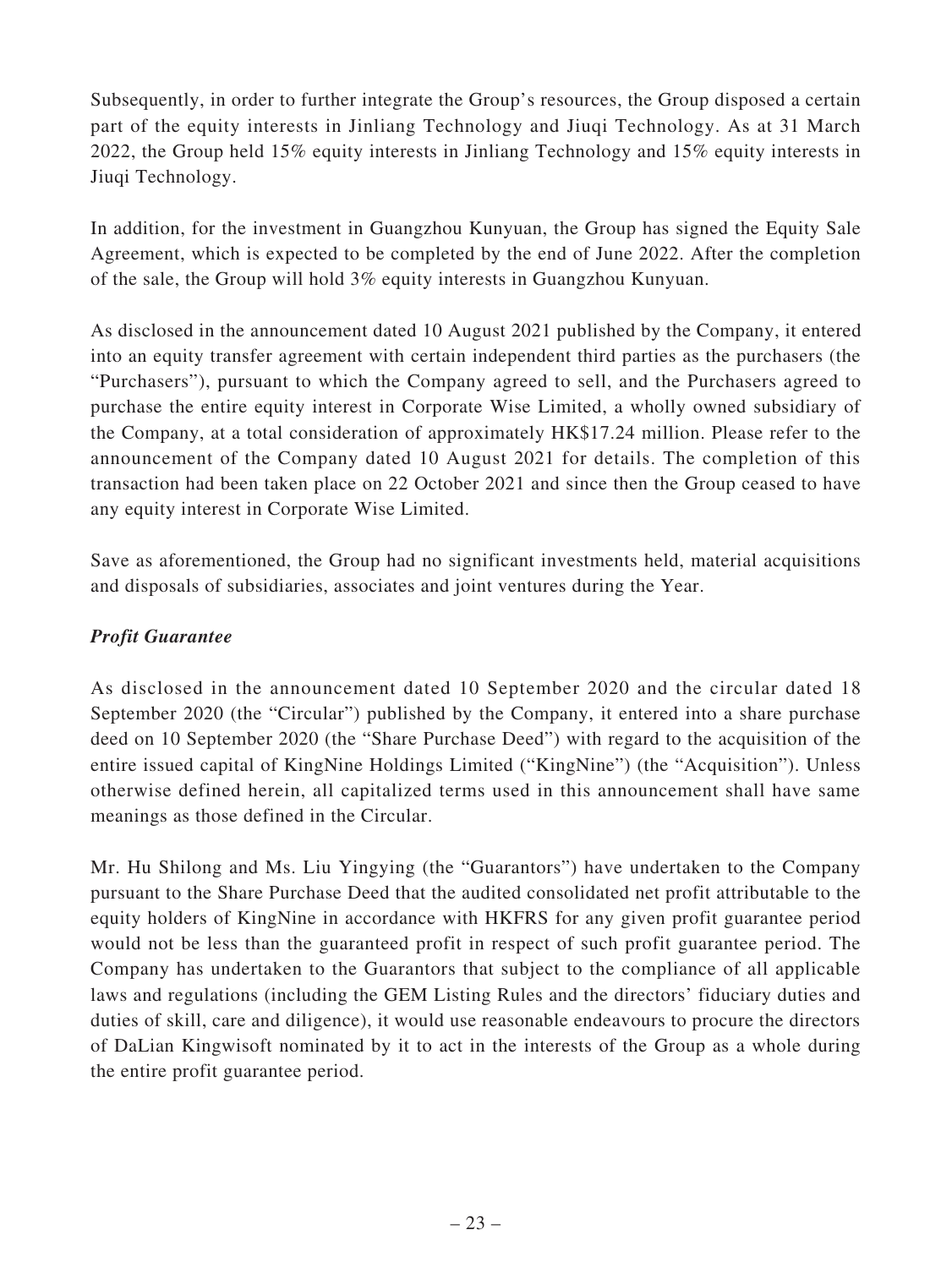Subsequently, in order to further integrate the Group's resources, the Group disposed a certain part of the equity interests in Jinliang Technology and Jiuqi Technology. As at 31 March 2022, the Group held 15% equity interests in Jinliang Technology and 15% equity interests in Jiuqi Technology.

In addition, for the investment in Guangzhou Kunyuan, the Group has signed the Equity Sale Agreement, which is expected to be completed by the end of June 2022. After the completion of the sale, the Group will hold 3% equity interests in Guangzhou Kunyuan.

As disclosed in the announcement dated 10 August 2021 published by the Company, it entered into an equity transfer agreement with certain independent third parties as the purchasers (the "Purchasers"), pursuant to which the Company agreed to sell, and the Purchasers agreed to purchase the entire equity interest in Corporate Wise Limited, a wholly owned subsidiary of the Company, at a total consideration of approximately HK\$17.24 million. Please refer to the announcement of the Company dated 10 August 2021 for details. The completion of this transaction had been taken place on 22 October 2021 and since then the Group ceased to have any equity interest in Corporate Wise Limited.

Save as aforementioned, the Group had no significant investments held, material acquisitions and disposals of subsidiaries, associates and joint ventures during the Year.

# *Profit Guarantee*

As disclosed in the announcement dated 10 September 2020 and the circular dated 18 September 2020 (the "Circular") published by the Company, it entered into a share purchase deed on 10 September 2020 (the "Share Purchase Deed") with regard to the acquisition of the entire issued capital of KingNine Holdings Limited ("KingNine") (the "Acquisition"). Unless otherwise defined herein, all capitalized terms used in this announcement shall have same meanings as those defined in the Circular.

Mr. Hu Shilong and Ms. Liu Yingying (the "Guarantors") have undertaken to the Company pursuant to the Share Purchase Deed that the audited consolidated net profit attributable to the equity holders of KingNine in accordance with HKFRS for any given profit guarantee period would not be less than the guaranteed profit in respect of such profit guarantee period. The Company has undertaken to the Guarantors that subject to the compliance of all applicable laws and regulations (including the GEM Listing Rules and the directors' fiduciary duties and duties of skill, care and diligence), it would use reasonable endeavours to procure the directors of DaLian Kingwisoft nominated by it to act in the interests of the Group as a whole during the entire profit guarantee period.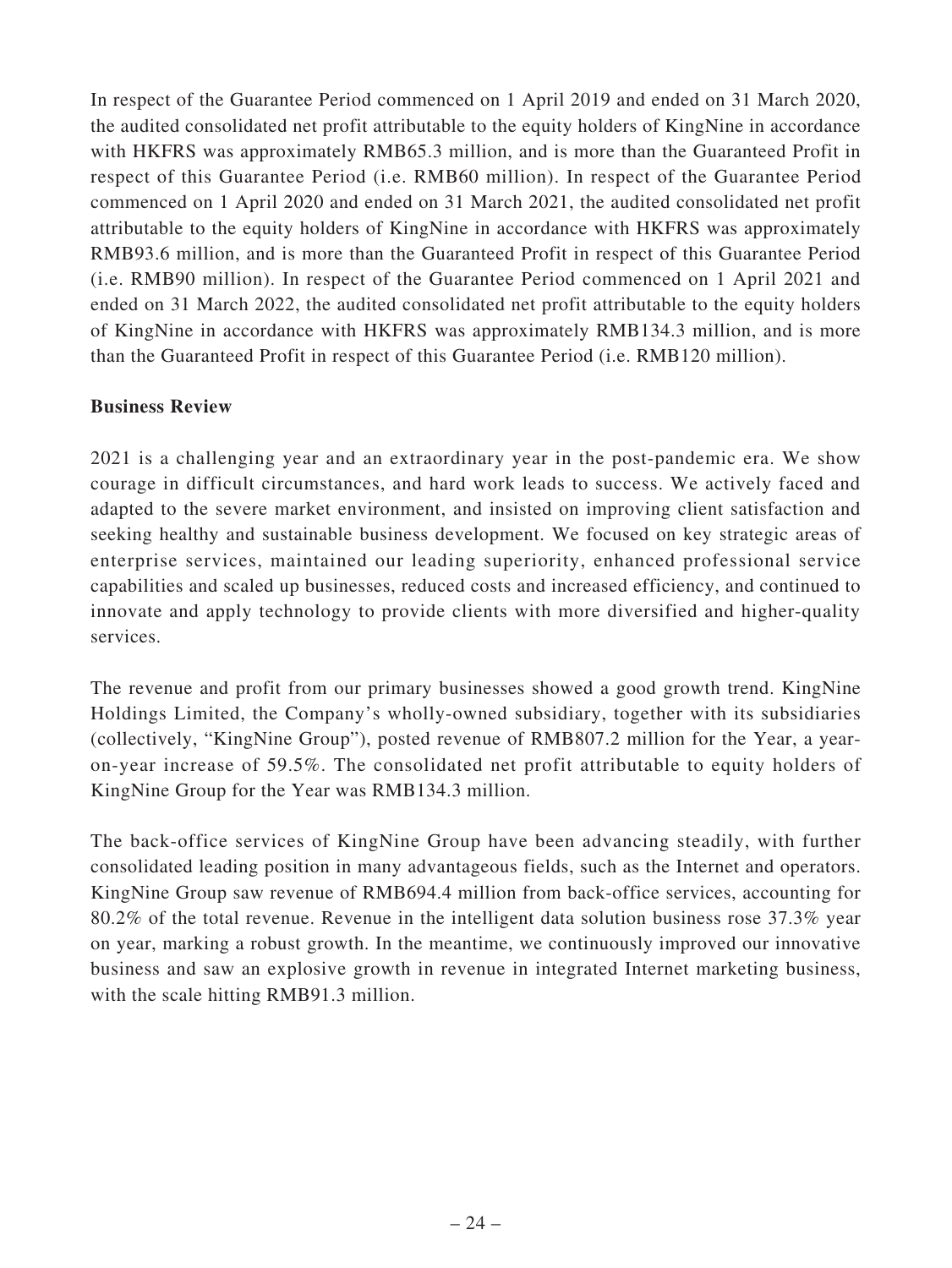In respect of the Guarantee Period commenced on 1 April 2019 and ended on 31 March 2020, the audited consolidated net profit attributable to the equity holders of KingNine in accordance with HKFRS was approximately RMB65.3 million, and is more than the Guaranteed Profit in respect of this Guarantee Period (i.e. RMB60 million). In respect of the Guarantee Period commenced on 1 April 2020 and ended on 31 March 2021, the audited consolidated net profit attributable to the equity holders of KingNine in accordance with HKFRS was approximately RMB93.6 million, and is more than the Guaranteed Profit in respect of this Guarantee Period (i.e. RMB90 million). In respect of the Guarantee Period commenced on 1 April 2021 and ended on 31 March 2022, the audited consolidated net profit attributable to the equity holders of KingNine in accordance with HKFRS was approximately RMB134.3 million, and is more than the Guaranteed Profit in respect of this Guarantee Period (i.e. RMB120 million).

# **Business Review**

2021 is a challenging year and an extraordinary year in the post-pandemic era. We show courage in difficult circumstances, and hard work leads to success. We actively faced and adapted to the severe market environment, and insisted on improving client satisfaction and seeking healthy and sustainable business development. We focused on key strategic areas of enterprise services, maintained our leading superiority, enhanced professional service capabilities and scaled up businesses, reduced costs and increased efficiency, and continued to innovate and apply technology to provide clients with more diversified and higher-quality services.

The revenue and profit from our primary businesses showed a good growth trend. KingNine Holdings Limited, the Company's wholly-owned subsidiary, together with its subsidiaries (collectively, "KingNine Group"), posted revenue of RMB807.2 million for the Year, a yearon-year increase of 59.5%. The consolidated net profit attributable to equity holders of KingNine Group for the Year was RMB134.3 million.

The back-office services of KingNine Group have been advancing steadily, with further consolidated leading position in many advantageous fields, such as the Internet and operators. KingNine Group saw revenue of RMB694.4 million from back-office services, accounting for 80.2% of the total revenue. Revenue in the intelligent data solution business rose 37.3% year on year, marking a robust growth. In the meantime, we continuously improved our innovative business and saw an explosive growth in revenue in integrated Internet marketing business, with the scale hitting RMB91.3 million.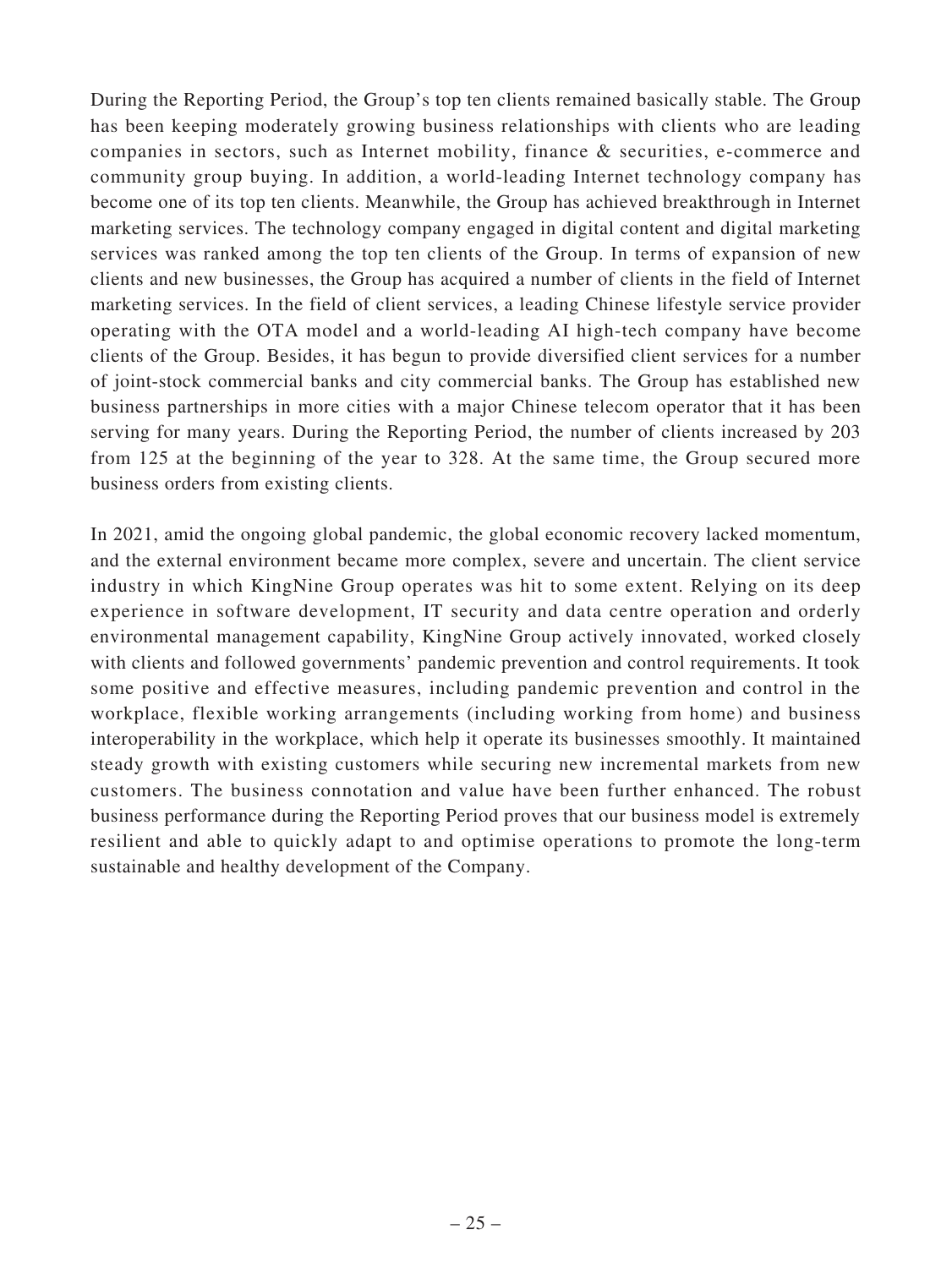During the Reporting Period, the Group's top ten clients remained basically stable. The Group has been keeping moderately growing business relationships with clients who are leading companies in sectors, such as Internet mobility, finance & securities, e-commerce and community group buying. In addition, a world-leading Internet technology company has become one of its top ten clients. Meanwhile, the Group has achieved breakthrough in Internet marketing services. The technology company engaged in digital content and digital marketing services was ranked among the top ten clients of the Group. In terms of expansion of new clients and new businesses, the Group has acquired a number of clients in the field of Internet marketing services. In the field of client services, a leading Chinese lifestyle service provider operating with the OTA model and a world-leading AI high-tech company have become clients of the Group. Besides, it has begun to provide diversified client services for a number of joint-stock commercial banks and city commercial banks. The Group has established new business partnerships in more cities with a major Chinese telecom operator that it has been serving for many years. During the Reporting Period, the number of clients increased by 203 from 125 at the beginning of the year to 328. At the same time, the Group secured more business orders from existing clients.

In 2021, amid the ongoing global pandemic, the global economic recovery lacked momentum, and the external environment became more complex, severe and uncertain. The client service industry in which KingNine Group operates was hit to some extent. Relying on its deep experience in software development, IT security and data centre operation and orderly environmental management capability, KingNine Group actively innovated, worked closely with clients and followed governments' pandemic prevention and control requirements. It took some positive and effective measures, including pandemic prevention and control in the workplace, flexible working arrangements (including working from home) and business interoperability in the workplace, which help it operate its businesses smoothly. It maintained steady growth with existing customers while securing new incremental markets from new customers. The business connotation and value have been further enhanced. The robust business performance during the Reporting Period proves that our business model is extremely resilient and able to quickly adapt to and optimise operations to promote the long-term sustainable and healthy development of the Company.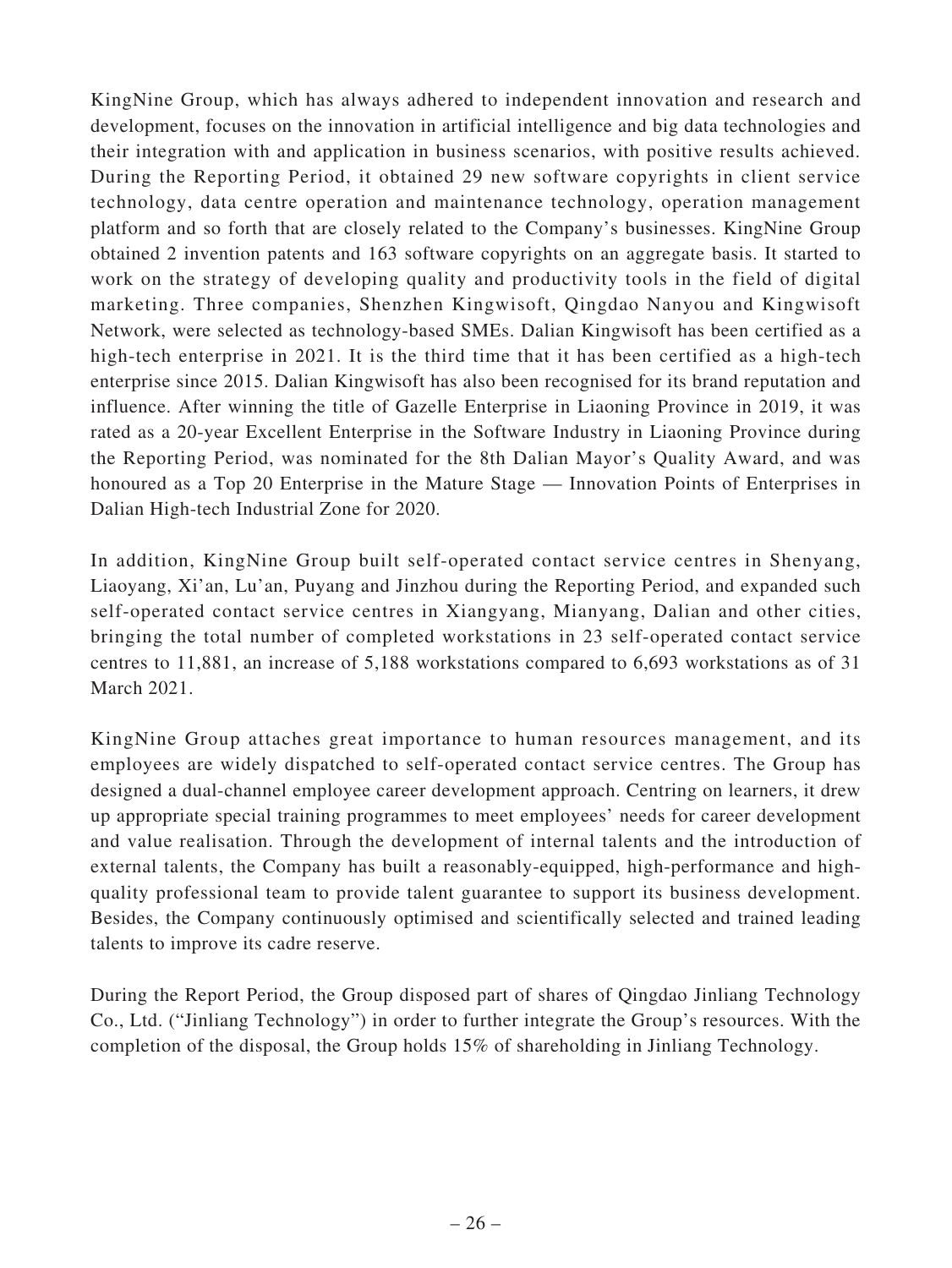KingNine Group, which has always adhered to independent innovation and research and development, focuses on the innovation in artificial intelligence and big data technologies and their integration with and application in business scenarios, with positive results achieved. During the Reporting Period, it obtained 29 new software copyrights in client service technology, data centre operation and maintenance technology, operation management platform and so forth that are closely related to the Company's businesses. KingNine Group obtained 2 invention patents and 163 software copyrights on an aggregate basis. It started to work on the strategy of developing quality and productivity tools in the field of digital marketing. Three companies, Shenzhen Kingwisoft, Qingdao Nanyou and Kingwisoft Network, were selected as technology-based SMEs. Dalian Kingwisoft has been certified as a high-tech enterprise in 2021. It is the third time that it has been certified as a high-tech enterprise since 2015. Dalian Kingwisoft has also been recognised for its brand reputation and influence. After winning the title of Gazelle Enterprise in Liaoning Province in 2019, it was rated as a 20-year Excellent Enterprise in the Software Industry in Liaoning Province during the Reporting Period, was nominated for the 8th Dalian Mayor's Quality Award, and was honoured as a Top 20 Enterprise in the Mature Stage — Innovation Points of Enterprises in Dalian High-tech Industrial Zone for 2020.

In addition, KingNine Group built self-operated contact service centres in Shenyang, Liaoyang, Xi'an, Lu'an, Puyang and Jinzhou during the Reporting Period, and expanded such self-operated contact service centres in Xiangyang, Mianyang, Dalian and other cities, bringing the total number of completed workstations in 23 self-operated contact service centres to 11,881, an increase of 5,188 workstations compared to 6,693 workstations as of 31 March 2021.

KingNine Group attaches great importance to human resources management, and its employees are widely dispatched to self-operated contact service centres. The Group has designed a dual-channel employee career development approach. Centring on learners, it drew up appropriate special training programmes to meet employees' needs for career development and value realisation. Through the development of internal talents and the introduction of external talents, the Company has built a reasonably-equipped, high-performance and highquality professional team to provide talent guarantee to support its business development. Besides, the Company continuously optimised and scientifically selected and trained leading talents to improve its cadre reserve.

During the Report Period, the Group disposed part of shares of Qingdao Jinliang Technology Co., Ltd. ("Jinliang Technology") in order to further integrate the Group's resources. With the completion of the disposal, the Group holds 15% of shareholding in Jinliang Technology.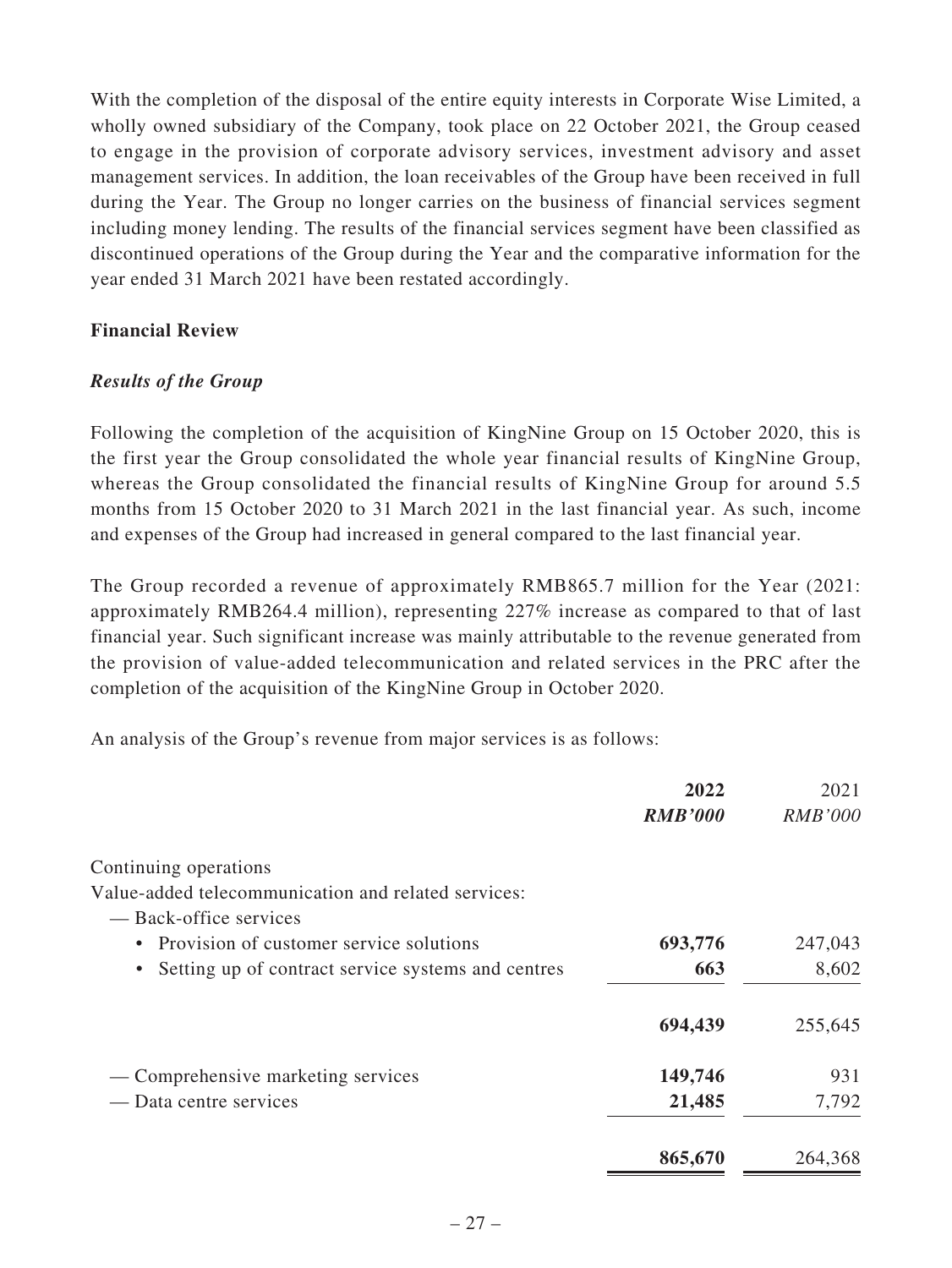With the completion of the disposal of the entire equity interests in Corporate Wise Limited, a wholly owned subsidiary of the Company, took place on 22 October 2021, the Group ceased to engage in the provision of corporate advisory services, investment advisory and asset management services. In addition, the loan receivables of the Group have been received in full during the Year. The Group no longer carries on the business of financial services segment including money lending. The results of the financial services segment have been classified as discontinued operations of the Group during the Year and the comparative information for the year ended 31 March 2021 have been restated accordingly.

### **Financial Review**

### *Results of the Group*

Following the completion of the acquisition of KingNine Group on 15 October 2020, this is the first year the Group consolidated the whole year financial results of KingNine Group, whereas the Group consolidated the financial results of KingNine Group for around 5.5 months from 15 October 2020 to 31 March 2021 in the last financial year. As such, income and expenses of the Group had increased in general compared to the last financial year.

The Group recorded a revenue of approximately RMB865.7 million for the Year (2021: approximately RMB264.4 million), representing 227% increase as compared to that of last financial year. Such significant increase was mainly attributable to the revenue generated from the provision of value-added telecommunication and related services in the PRC after the completion of the acquisition of the KingNine Group in October 2020.

An analysis of the Group's revenue from major services is as follows:

|                                                                 | 2022<br><b>RMB'000</b> | 2021<br><b>RMB'000</b> |
|-----------------------------------------------------------------|------------------------|------------------------|
| Continuing operations                                           |                        |                        |
| Value-added telecommunication and related services:             |                        |                        |
| — Back-office services                                          |                        |                        |
| Provision of customer service solutions<br>$\bullet$            | 693,776                | 247,043                |
| Setting up of contract service systems and centres<br>$\bullet$ | 663                    | 8,602                  |
|                                                                 | 694,439                | 255,645                |
| — Comprehensive marketing services                              | 149,746                | 931                    |
| — Data centre services                                          | 21,485                 | 7,792                  |
|                                                                 | 865,670                | 264,368                |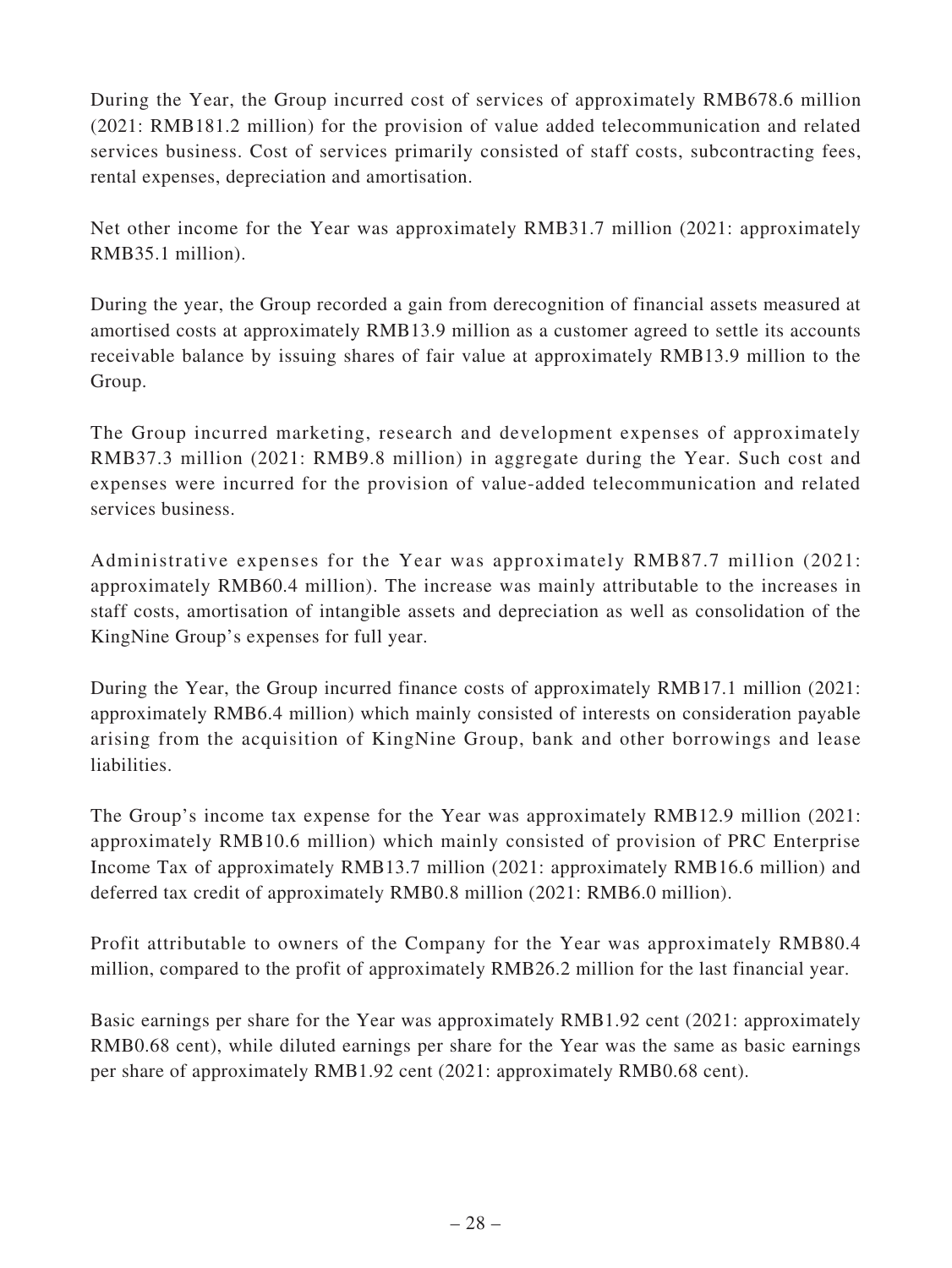During the Year, the Group incurred cost of services of approximately RMB678.6 million (2021: RMB181.2 million) for the provision of value added telecommunication and related services business. Cost of services primarily consisted of staff costs, subcontracting fees, rental expenses, depreciation and amortisation.

Net other income for the Year was approximately RMB31.7 million (2021: approximately RMB35.1 million).

During the year, the Group recorded a gain from derecognition of financial assets measured at amortised costs at approximately RMB13.9 million as a customer agreed to settle its accounts receivable balance by issuing shares of fair value at approximately RMB13.9 million to the Group.

The Group incurred marketing, research and development expenses of approximately RMB37.3 million (2021: RMB9.8 million) in aggregate during the Year. Such cost and expenses were incurred for the provision of value-added telecommunication and related services business.

Administrative expenses for the Year was approximately RMB87.7 million (2021: approximately RMB60.4 million). The increase was mainly attributable to the increases in staff costs, amortisation of intangible assets and depreciation as well as consolidation of the KingNine Group's expenses for full year.

During the Year, the Group incurred finance costs of approximately RMB17.1 million (2021: approximately RMB6.4 million) which mainly consisted of interests on consideration payable arising from the acquisition of KingNine Group, bank and other borrowings and lease liabilities.

The Group's income tax expense for the Year was approximately RMB12.9 million (2021: approximately RMB10.6 million) which mainly consisted of provision of PRC Enterprise Income Tax of approximately RMB13.7 million (2021: approximately RMB16.6 million) and deferred tax credit of approximately RMB0.8 million (2021: RMB6.0 million).

Profit attributable to owners of the Company for the Year was approximately RMB80.4 million, compared to the profit of approximately RMB26.2 million for the last financial year.

Basic earnings per share for the Year was approximately RMB1.92 cent (2021: approximately RMB0.68 cent), while diluted earnings per share for the Year was the same as basic earnings per share of approximately RMB1.92 cent (2021: approximately RMB0.68 cent).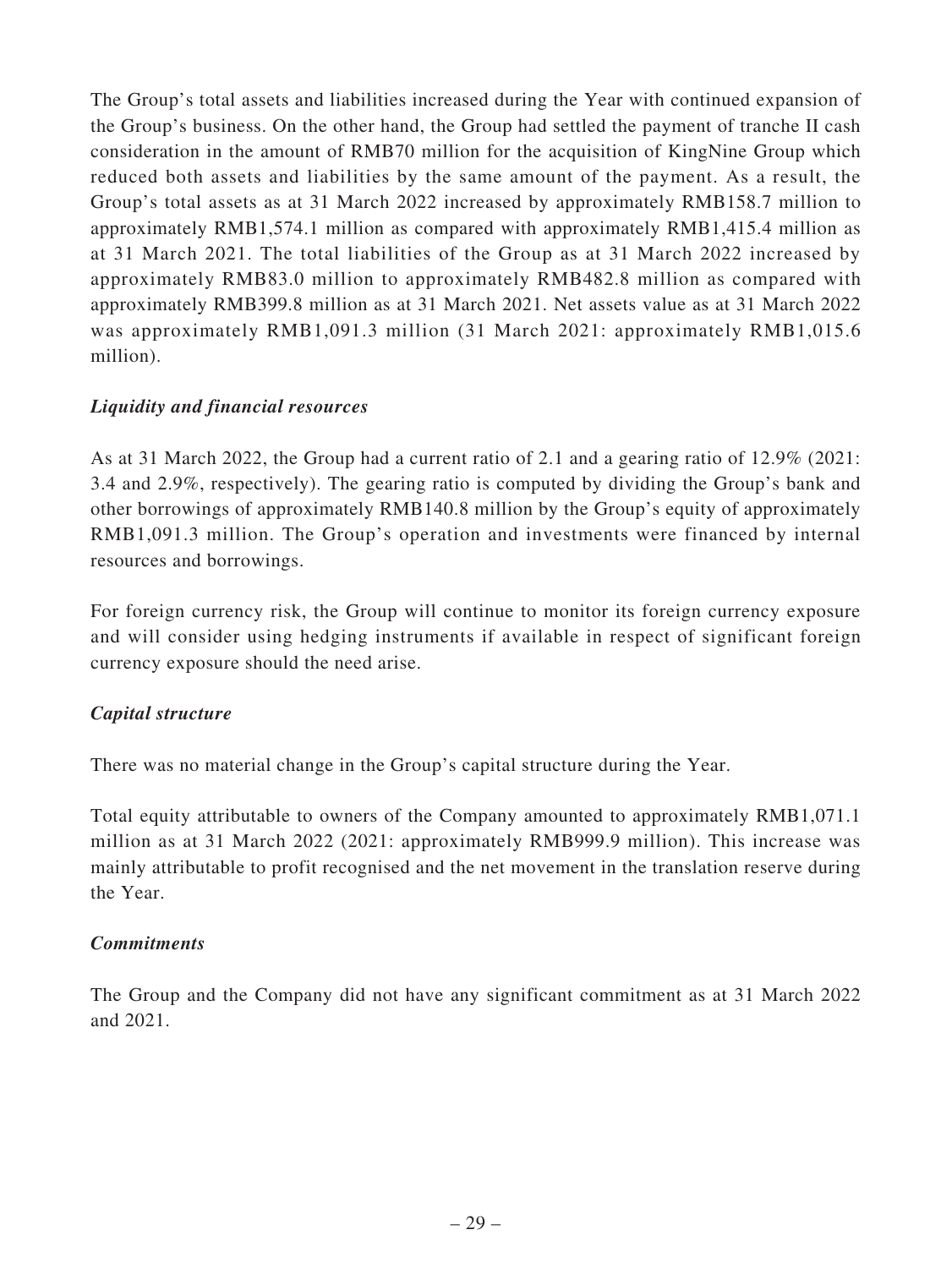The Group's total assets and liabilities increased during the Year with continued expansion of the Group's business. On the other hand, the Group had settled the payment of tranche II cash consideration in the amount of RMB70 million for the acquisition of KingNine Group which reduced both assets and liabilities by the same amount of the payment. As a result, the Group's total assets as at 31 March 2022 increased by approximately RMB158.7 million to approximately RMB1,574.1 million as compared with approximately RMB1,415.4 million as at 31 March 2021. The total liabilities of the Group as at 31 March 2022 increased by approximately RMB83.0 million to approximately RMB482.8 million as compared with approximately RMB399.8 million as at 31 March 2021. Net assets value as at 31 March 2022 was approximately RMB1,091.3 million (31 March 2021: approximately RMB1,015.6 million).

# *Liquidity and financial resources*

As at 31 March 2022, the Group had a current ratio of 2.1 and a gearing ratio of 12.9% (2021: 3.4 and 2.9%, respectively). The gearing ratio is computed by dividing the Group's bank and other borrowings of approximately RMB140.8 million by the Group's equity of approximately RMB1,091.3 million. The Group's operation and investments were financed by internal resources and borrowings.

For foreign currency risk, the Group will continue to monitor its foreign currency exposure and will consider using hedging instruments if available in respect of significant foreign currency exposure should the need arise.

# *Capital structure*

There was no material change in the Group's capital structure during the Year.

Total equity attributable to owners of the Company amounted to approximately RMB1,071.1 million as at 31 March 2022 (2021: approximately RMB999.9 million). This increase was mainly attributable to profit recognised and the net movement in the translation reserve during the Year.

# *Commitments*

The Group and the Company did not have any significant commitment as at 31 March 2022 and 2021.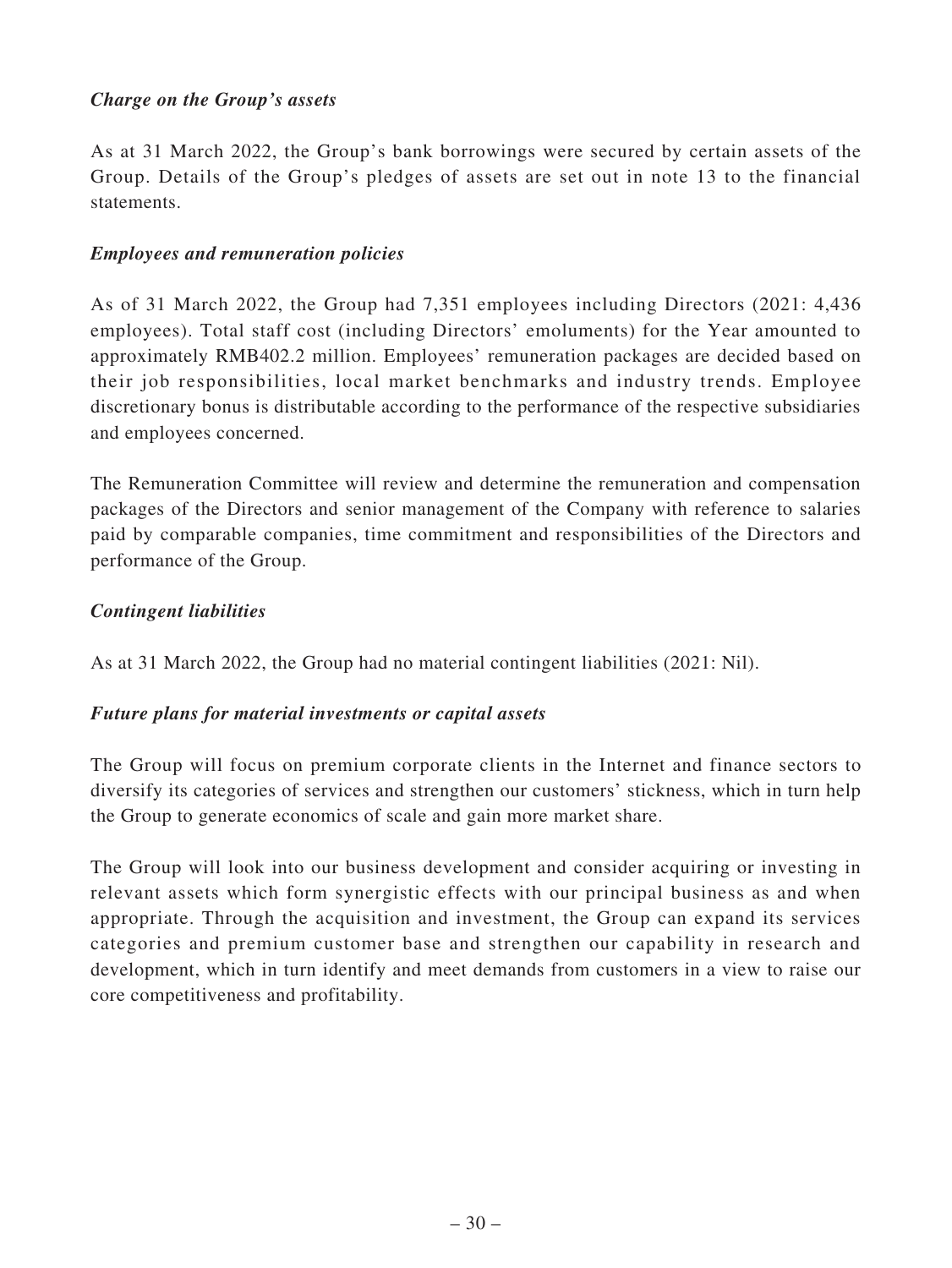# *Charge on the Group's assets*

As at 31 March 2022, the Group's bank borrowings were secured by certain assets of the Group. Details of the Group's pledges of assets are set out in note 13 to the financial statements.

### *Employees and remuneration policies*

As of 31 March 2022, the Group had 7,351 employees including Directors (2021: 4,436 employees). Total staff cost (including Directors' emoluments) for the Year amounted to approximately RMB402.2 million. Employees' remuneration packages are decided based on their job responsibilities, local market benchmarks and industry trends. Employee discretionary bonus is distributable according to the performance of the respective subsidiaries and employees concerned.

The Remuneration Committee will review and determine the remuneration and compensation packages of the Directors and senior management of the Company with reference to salaries paid by comparable companies, time commitment and responsibilities of the Directors and performance of the Group.

### *Contingent liabilities*

As at 31 March 2022, the Group had no material contingent liabilities (2021: Nil).

# *Future plans for material investments or capital assets*

The Group will focus on premium corporate clients in the Internet and finance sectors to diversify its categories of services and strengthen our customers' stickness, which in turn help the Group to generate economics of scale and gain more market share.

The Group will look into our business development and consider acquiring or investing in relevant assets which form synergistic effects with our principal business as and when appropriate. Through the acquisition and investment, the Group can expand its services categories and premium customer base and strengthen our capability in research and development, which in turn identify and meet demands from customers in a view to raise our core competitiveness and profitability.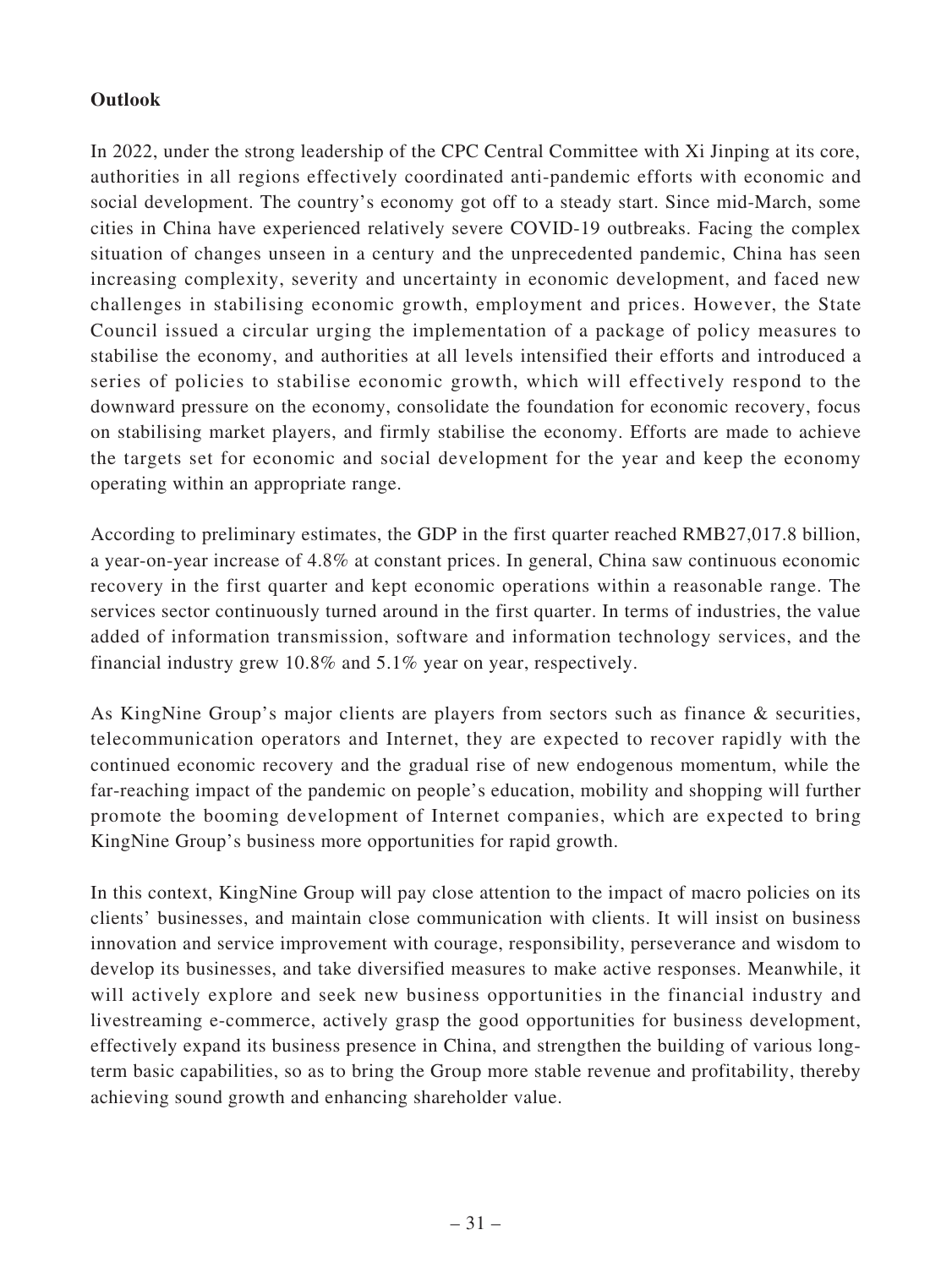# **Outlook**

In 2022, under the strong leadership of the CPC Central Committee with Xi Jinping at its core, authorities in all regions effectively coordinated anti-pandemic efforts with economic and social development. The country's economy got off to a steady start. Since mid-March, some cities in China have experienced relatively severe COVID-19 outbreaks. Facing the complex situation of changes unseen in a century and the unprecedented pandemic, China has seen increasing complexity, severity and uncertainty in economic development, and faced new challenges in stabilising economic growth, employment and prices. However, the State Council issued a circular urging the implementation of a package of policy measures to stabilise the economy, and authorities at all levels intensified their efforts and introduced a series of policies to stabilise economic growth, which will effectively respond to the downward pressure on the economy, consolidate the foundation for economic recovery, focus on stabilising market players, and firmly stabilise the economy. Efforts are made to achieve the targets set for economic and social development for the year and keep the economy operating within an appropriate range.

According to preliminary estimates, the GDP in the first quarter reached RMB27,017.8 billion, a year-on-year increase of 4.8% at constant prices. In general, China saw continuous economic recovery in the first quarter and kept economic operations within a reasonable range. The services sector continuously turned around in the first quarter. In terms of industries, the value added of information transmission, software and information technology services, and the financial industry grew 10.8% and 5.1% year on year, respectively.

As KingNine Group's major clients are players from sectors such as finance & securities, telecommunication operators and Internet, they are expected to recover rapidly with the continued economic recovery and the gradual rise of new endogenous momentum, while the far-reaching impact of the pandemic on people's education, mobility and shopping will further promote the booming development of Internet companies, which are expected to bring KingNine Group's business more opportunities for rapid growth.

In this context, KingNine Group will pay close attention to the impact of macro policies on its clients' businesses, and maintain close communication with clients. It will insist on business innovation and service improvement with courage, responsibility, perseverance and wisdom to develop its businesses, and take diversified measures to make active responses. Meanwhile, it will actively explore and seek new business opportunities in the financial industry and livestreaming e-commerce, actively grasp the good opportunities for business development, effectively expand its business presence in China, and strengthen the building of various longterm basic capabilities, so as to bring the Group more stable revenue and profitability, thereby achieving sound growth and enhancing shareholder value.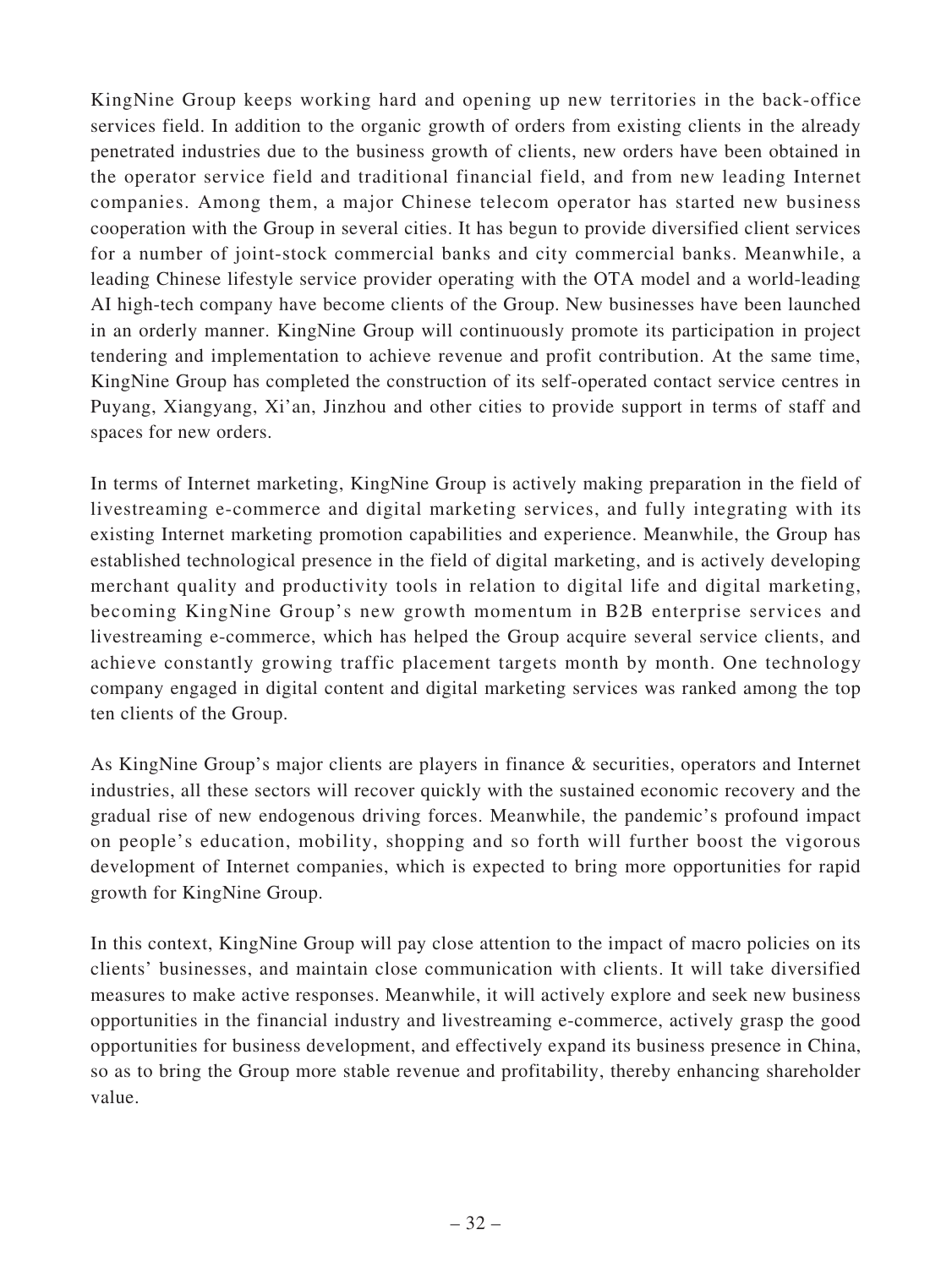KingNine Group keeps working hard and opening up new territories in the back-office services field. In addition to the organic growth of orders from existing clients in the already penetrated industries due to the business growth of clients, new orders have been obtained in the operator service field and traditional financial field, and from new leading Internet companies. Among them, a major Chinese telecom operator has started new business cooperation with the Group in several cities. It has begun to provide diversified client services for a number of joint-stock commercial banks and city commercial banks. Meanwhile, a leading Chinese lifestyle service provider operating with the OTA model and a world-leading AI high-tech company have become clients of the Group. New businesses have been launched in an orderly manner. KingNine Group will continuously promote its participation in project tendering and implementation to achieve revenue and profit contribution. At the same time, KingNine Group has completed the construction of its self-operated contact service centres in Puyang, Xiangyang, Xi'an, Jinzhou and other cities to provide support in terms of staff and spaces for new orders.

In terms of Internet marketing, KingNine Group is actively making preparation in the field of livestreaming e-commerce and digital marketing services, and fully integrating with its existing Internet marketing promotion capabilities and experience. Meanwhile, the Group has established technological presence in the field of digital marketing, and is actively developing merchant quality and productivity tools in relation to digital life and digital marketing, becoming KingNine Group's new growth momentum in B2B enterprise services and livestreaming e-commerce, which has helped the Group acquire several service clients, and achieve constantly growing traffic placement targets month by month. One technology company engaged in digital content and digital marketing services was ranked among the top ten clients of the Group.

As KingNine Group's major clients are players in finance & securities, operators and Internet industries, all these sectors will recover quickly with the sustained economic recovery and the gradual rise of new endogenous driving forces. Meanwhile, the pandemic's profound impact on people's education, mobility, shopping and so forth will further boost the vigorous development of Internet companies, which is expected to bring more opportunities for rapid growth for KingNine Group.

In this context, KingNine Group will pay close attention to the impact of macro policies on its clients' businesses, and maintain close communication with clients. It will take diversified measures to make active responses. Meanwhile, it will actively explore and seek new business opportunities in the financial industry and livestreaming e-commerce, actively grasp the good opportunities for business development, and effectively expand its business presence in China, so as to bring the Group more stable revenue and profitability, thereby enhancing shareholder value.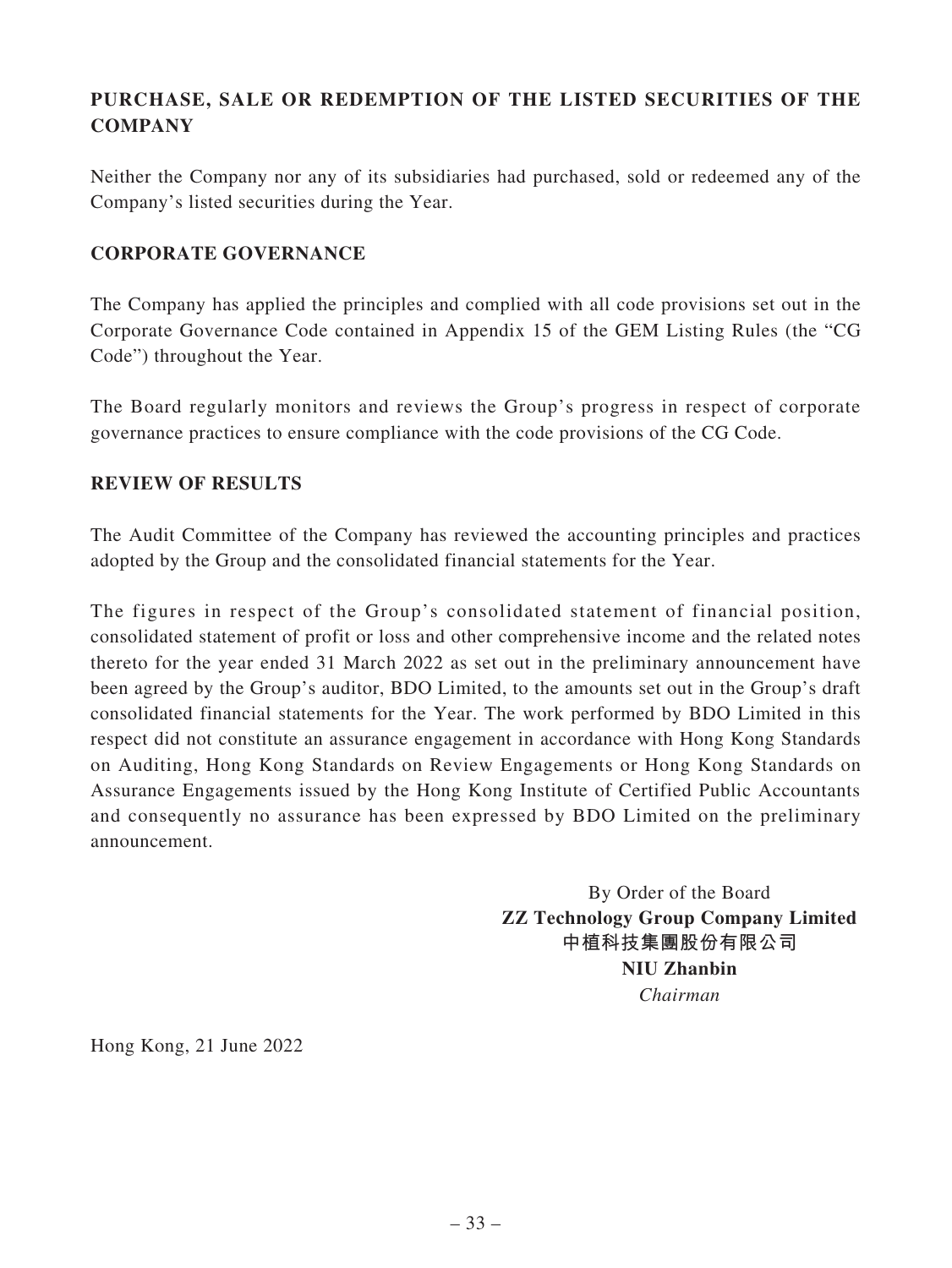# **PURCHASE, SALE OR REDEMPTION OF THE LISTED SECURITIES OF THE COMPANY**

Neither the Company nor any of its subsidiaries had purchased, sold or redeemed any of the Company's listed securities during the Year.

# **CORPORATE GOVERNANCE**

The Company has applied the principles and complied with all code provisions set out in the Corporate Governance Code contained in Appendix 15 of the GEM Listing Rules (the "CG Code") throughout the Year.

The Board regularly monitors and reviews the Group's progress in respect of corporate governance practices to ensure compliance with the code provisions of the CG Code.

# **REVIEW OF RESULTS**

The Audit Committee of the Company has reviewed the accounting principles and practices adopted by the Group and the consolidated financial statements for the Year.

The figures in respect of the Group's consolidated statement of financial position, consolidated statement of profit or loss and other comprehensive income and the related notes thereto for the year ended 31 March 2022 as set out in the preliminary announcement have been agreed by the Group's auditor, BDO Limited, to the amounts set out in the Group's draft consolidated financial statements for the Year. The work performed by BDO Limited in this respect did not constitute an assurance engagement in accordance with Hong Kong Standards on Auditing, Hong Kong Standards on Review Engagements or Hong Kong Standards on Assurance Engagements issued by the Hong Kong Institute of Certified Public Accountants and consequently no assurance has been expressed by BDO Limited on the preliminary announcement.

> By Order of the Board **ZZ Technology Group Company Limited 中植科技集團股份有限公司 NIU Zhanbin** *Chairman*

Hong Kong, 21 June 2022